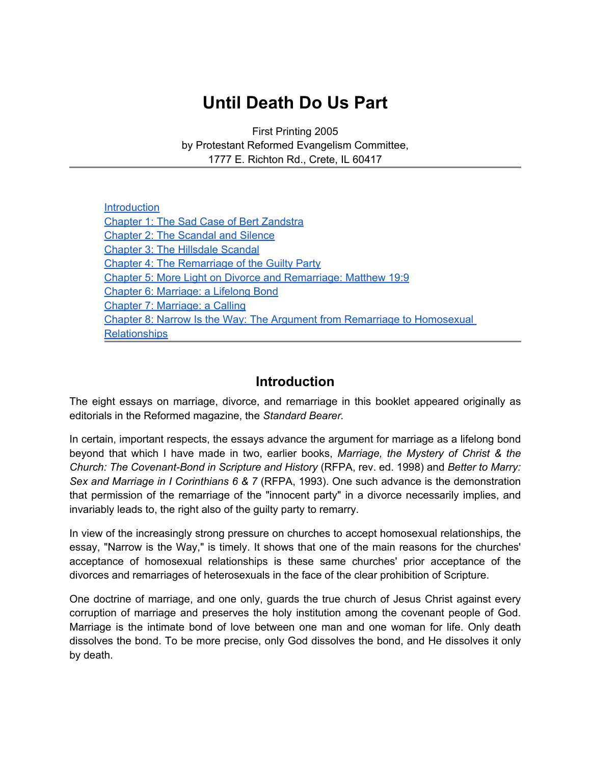# **Until Death Do Us Part**

First Printing 2005 by Protestant Reformed Evangelism Committee, 1777 E. Richton Rd., Crete, IL 60417

| Introduction                                                             |
|--------------------------------------------------------------------------|
| <b>Chapter 1: The Sad Case of Bert Zandstra</b>                          |
| <b>Chapter 2: The Scandal and Silence</b>                                |
| <b>Chapter 3: The Hillsdale Scandal</b>                                  |
| <b>Chapter 4: The Remarriage of the Guilty Party</b>                     |
| Chapter 5: More Light on Divorce and Remarriage: Matthew 19:9            |
| Chapter 6: Marriage: a Lifelong Bond                                     |
| Chapter 7: Marriage: a Calling                                           |
| Chapter 8: Narrow Is the Way: The Argument from Remarriage to Homosexual |
| <b>Relationships</b>                                                     |

### **Introduction**

The eight essays on marriage, divorce, and remarriage in this booklet appeared originally as editorials in the Reformed magazine, the *Standard Bearer.*

In certain, important respects, the essays advance the argument for marriage as a lifelong bond beyond that which I have made in two, earlier books, *Marriage, the Mystery of Christ & the Church: The Covenant-Bond in Scripture and History* (RFPA, rev. ed. 1998) and *Better to Marry: Sex and Marriage in I Corinthians 6 & 7* (RFPA, 1993). One such advance is the demonstration that permission of the remarriage of the "innocent party" in a divorce necessarily implies, and invariably leads to, the right also of the guilty party to remarry.

In view of the increasingly strong pressure on churches to accept homosexual relationships, the essay, "Narrow is the Way," is timely. It shows that one of the main reasons for the churches' acceptance of homosexual relationships is these same churches' prior acceptance of the divorces and remarriages of heterosexuals in the face of the clear prohibition of Scripture.

One doctrine of marriage, and one only, guards the true church of Jesus Christ against every corruption of marriage and preserves the holy institution among the covenant people of God. Marriage is the intimate bond of love between one man and one woman for life. Only death dissolves the bond. To be more precise, only God dissolves the bond, and He dissolves it only by death.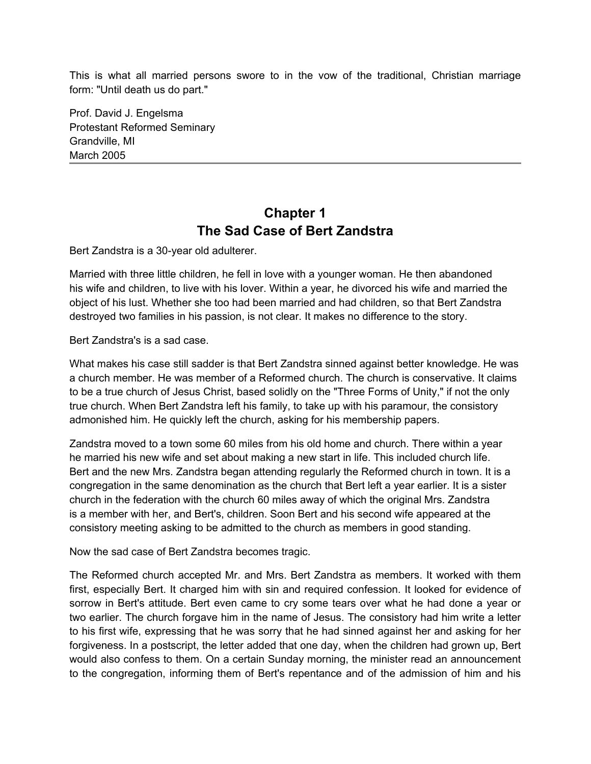<span id="page-1-0"></span>This is what all married persons swore to in the vow of the traditional, Christian marriage form: "Until death us do part."

Prof. David J. Engelsma Protestant Reformed Seminary Grandville, MI March 2005

### **Chapter 1 The Sad Case of Bert Zandstra**

Bert Zandstra is a 30-year old adulterer.

Married with three little children, he fell in love with a younger woman. He then abandoned his wife and children, to live with his lover. Within a year, he divorced his wife and married the object of his lust. Whether she too had been married and had children, so that Bert Zandstra destroyed two families in his passion, is not clear. It makes no difference to the story.

Bert Zandstra's is a sad case.

What makes his case still sadder is that Bert Zandstra sinned against better knowledge. He was a church member. He was member of a Reformed church. The church is conservative. It claims to be a true church of Jesus Christ, based solidly on the "Three Forms of Unity," if not the only true church. When Bert Zandstra left his family, to take up with his paramour, the consistory admonished him. He quickly left the church, asking for his membership papers.

Zandstra moved to a town some 60 miles from his old home and church. There within a year he married his new wife and set about making a new start in life. This included church life. Bert and the new Mrs. Zandstra began attending regularly the Reformed church in town. It is a congregation in the same denomination as the church that Bert left a year earlier. It is a sister church in the federation with the church 60 miles away of which the original Mrs. Zandstra is a member with her, and Bert's, children. Soon Bert and his second wife appeared at the consistory meeting asking to be admitted to the church as members in good standing.

Now the sad case of Bert Zandstra becomes tragic.

The Reformed church accepted Mr. and Mrs. Bert Zandstra as members. It worked with them first, especially Bert. It charged him with sin and required confession. It looked for evidence of sorrow in Bert's attitude. Bert even came to cry some tears over what he had done a year or two earlier. The church forgave him in the name of Jesus. The consistory had him write a letter to his first wife, expressing that he was sorry that he had sinned against her and asking for her forgiveness. In a postscript, the letter added that one day, when the children had grown up, Bert would also confess to them. On a certain Sunday morning, the minister read an announcement to the congregation, informing them of Bert's repentance and of the admission of him and his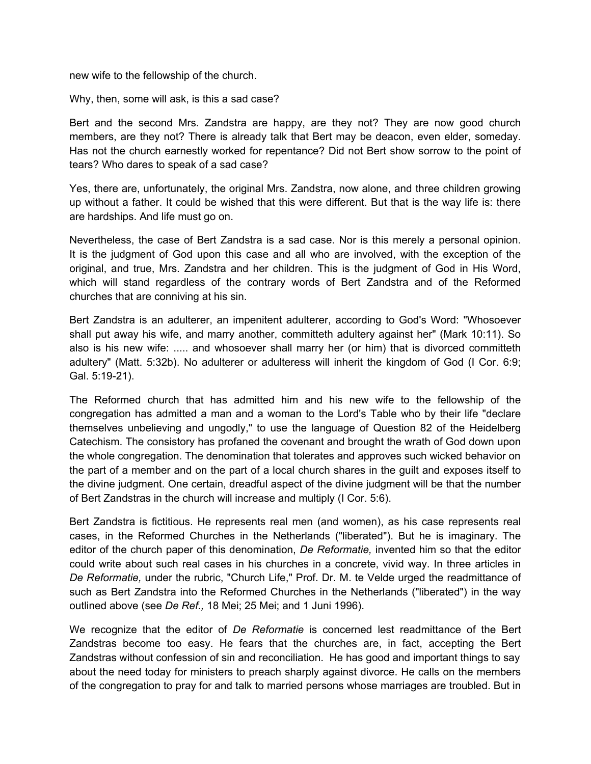new wife to the fellowship of the church.

Why, then, some will ask, is this a sad case?

Bert and the second Mrs. Zandstra are happy, are they not? They are now good church members, are they not? There is already talk that Bert may be deacon, even elder, someday. Has not the church earnestly worked for repentance? Did not Bert show sorrow to the point of tears? Who dares to speak of a sad case?

Yes, there are, unfortunately, the original Mrs. Zandstra, now alone, and three children growing up without a father. It could be wished that this were different. But that is the way life is: there are hardships. And life must go on.

Nevertheless, the case of Bert Zandstra is a sad case. Nor is this merely a personal opinion. It is the judgment of God upon this case and all who are involved, with the exception of the original, and true, Mrs. Zandstra and her children. This is the judgment of God in His Word, which will stand regardless of the contrary words of Bert Zandstra and of the Reformed churches that are conniving at his sin.

Bert Zandstra is an adulterer, an impenitent adulterer, according to God's Word: "Whosoever shall put away his wife, and marry another, committeth adultery against her" (Mark 10:11). So also is his new wife: ..... and whosoever shall marry her (or him) that is divorced committeth adultery" (Matt. 5:32b). No adulterer or adulteress will inherit the kingdom of God (I Cor. 6:9; Gal. 5:19-21).

The Reformed church that has admitted him and his new wife to the fellowship of the congregation has admitted a man and a woman to the Lord's Table who by their life "declare themselves unbelieving and ungodly," to use the language of Question 82 of the Heidelberg Catechism. The consistory has profaned the covenant and brought the wrath of God down upon the whole congregation. The denomination that tolerates and approves such wicked behavior on the part of a member and on the part of a local church shares in the guilt and exposes itself to the divine judgment. One certain, dreadful aspect of the divine judgment will be that the number of Bert Zandstras in the church will increase and multiply (I Cor. 5:6).

Bert Zandstra is fictitious. He represents real men (and women), as his case represents real cases, in the Reformed Churches in the Netherlands ("liberated"). But he is imaginary. The editor of the church paper of this denomination, *De Reformatie,* invented him so that the editor could write about such real cases in his churches in a concrete, vivid way. In three articles in *De Reformatie,* under the rubric, "Church Life," Prof. Dr. M. te Velde urged the readmittance of such as Bert Zandstra into the Reformed Churches in the Netherlands ("liberated") in the way outlined above (see *De Ref.,* 18 Mei; 25 Mei; and 1 Juni 1996).

We recognize that the editor of *De Reformatie* is concerned lest readmittance of the Bert Zandstras become too easy. He fears that the churches are, in fact, accepting the Bert Zandstras without confession of sin and reconciliation. He has good and important things to say about the need today for ministers to preach sharply against divorce. He calls on the members of the congregation to pray for and talk to married persons whose marriages are troubled. But in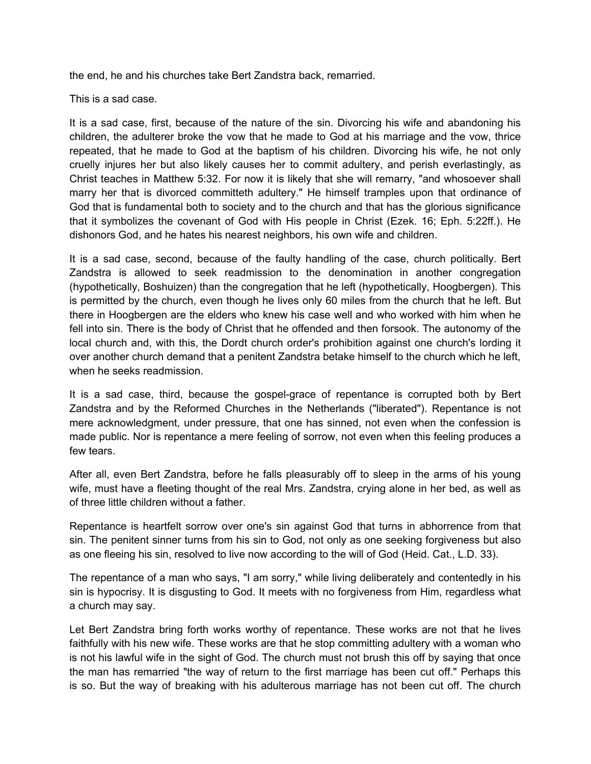the end, he and his churches take Bert Zandstra back, remarried.

This is a sad case.

It is a sad case, first, because of the nature of the sin. Divorcing his wife and abandoning his children, the adulterer broke the vow that he made to God at his marriage and the vow, thrice repeated, that he made to God at the baptism of his children. Divorcing his wife, he not only cruelly injures her but also likely causes her to commit adultery, and perish everlastingly, as Christ teaches in Matthew 5:32. For now it is likely that she will remarry, "and whosoever shall marry her that is divorced committeth adultery." He himself tramples upon that ordinance of God that is fundamental both to society and to the church and that has the glorious significance that it symbolizes the covenant of God with His people in Christ (Ezek. 16; Eph. 5:22ff.). He dishonors God, and he hates his nearest neighbors, his own wife and children.

It is a sad case, second, because of the faulty handling of the case, church politically. Bert Zandstra is allowed to seek readmission to the denomination in another congregation (hypothetically, Boshuizen) than the congregation that he left (hypothetically, Hoogbergen). This is permitted by the church, even though he lives only 60 miles from the church that he left. But there in Hoogbergen are the elders who knew his case well and who worked with him when he fell into sin. There is the body of Christ that he offended and then forsook. The autonomy of the local church and, with this, the Dordt church order's prohibition against one church's lording it over another church demand that a penitent Zandstra betake himself to the church which he left, when he seeks readmission.

It is a sad case, third, because the gospel-grace of repentance is corrupted both by Bert Zandstra and by the Reformed Churches in the Netherlands ("liberated"). Repentance is not mere acknowledgment, under pressure, that one has sinned, not even when the confession is made public. Nor is repentance a mere feeling of sorrow, not even when this feeling produces a few tears.

After all, even Bert Zandstra, before he falls pleasurably off to sleep in the arms of his young wife, must have a fleeting thought of the real Mrs. Zandstra, crying alone in her bed, as well as of three little children without a father.

Repentance is heartfelt sorrow over one's sin against God that turns in abhorrence from that sin. The penitent sinner turns from his sin to God, not only as one seeking forgiveness but also as one fleeing his sin, resolved to live now according to the will of God (Heid. Cat., L.D. 33).

The repentance of a man who says, "I am sorry," while living deliberately and contentedly in his sin is hypocrisy. It is disgusting to God. It meets with no forgiveness from Him, regardless what a church may say.

Let Bert Zandstra bring forth works worthy of repentance. These works are not that he lives faithfully with his new wife. These works are that he stop committing adultery with a woman who is not his lawful wife in the sight of God. The church must not brush this off by saying that once the man has remarried "the way of return to the first marriage has been cut off." Perhaps this is so. But the way of breaking with his adulterous marriage has not been cut off. The church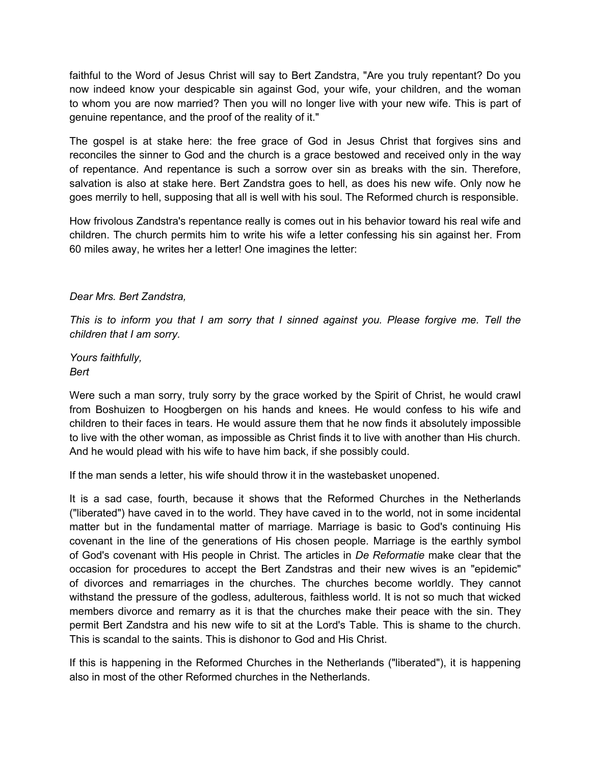faithful to the Word of Jesus Christ will say to Bert Zandstra, "Are you truly repentant? Do you now indeed know your despicable sin against God, your wife, your children, and the woman to whom you are now married? Then you will no longer live with your new wife. This is part of genuine repentance, and the proof of the reality of it."

The gospel is at stake here: the free grace of God in Jesus Christ that forgives sins and reconciles the sinner to God and the church is a grace bestowed and received only in the way of repentance. And repentance is such a sorrow over sin as breaks with the sin. Therefore, salvation is also at stake here. Bert Zandstra goes to hell, as does his new wife. Only now he goes merrily to hell, supposing that all is well with his soul. The Reformed church is responsible.

How frivolous Zandstra's repentance really is comes out in his behavior toward his real wife and children. The church permits him to write his wife a letter confessing his sin against her. From 60 miles away, he writes her a letter! One imagines the letter:

#### *Dear Mrs. Bert Zandstra,*

*This is to inform you that I am sorry that I sinned against you. Please forgive me. Tell the children that I am sorry.*

*Yours faithfully, Bert*

Were such a man sorry, truly sorry by the grace worked by the Spirit of Christ, he would crawl from Boshuizen to Hoogbergen on his hands and knees. He would confess to his wife and children to their faces in tears. He would assure them that he now finds it absolutely impossible to live with the other woman, as impossible as Christ finds it to live with another than His church. And he would plead with his wife to have him back, if she possibly could.

If the man sends a letter, his wife should throw it in the wastebasket unopened.

It is a sad case, fourth, because it shows that the Reformed Churches in the Netherlands ("liberated") have caved in to the world. They have caved in to the world, not in some incidental matter but in the fundamental matter of marriage. Marriage is basic to God's continuing His covenant in the line of the generations of His chosen people. Marriage is the earthly symbol of God's covenant with His people in Christ. The articles in *De Reformatie* make clear that the occasion for procedures to accept the Bert Zandstras and their new wives is an "epidemic" of divorces and remarriages in the churches. The churches become worldly. They cannot withstand the pressure of the godless, adulterous, faithless world. It is not so much that wicked members divorce and remarry as it is that the churches make their peace with the sin. They permit Bert Zandstra and his new wife to sit at the Lord's Table. This is shame to the church. This is scandal to the saints. This is dishonor to God and His Christ.

If this is happening in the Reformed Churches in the Netherlands ("liberated"), it is happening also in most of the other Reformed churches in the Netherlands.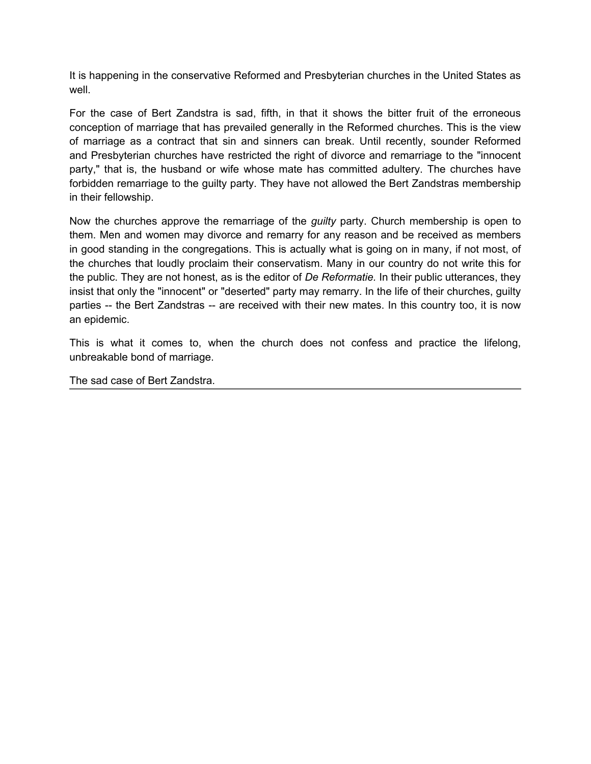It is happening in the conservative Reformed and Presbyterian churches in the United States as well.

For the case of Bert Zandstra is sad, fifth, in that it shows the bitter fruit of the erroneous conception of marriage that has prevailed generally in the Reformed churches. This is the view of marriage as a contract that sin and sinners can break. Until recently, sounder Reformed and Presbyterian churches have restricted the right of divorce and remarriage to the "innocent party," that is, the husband or wife whose mate has committed adultery. The churches have forbidden remarriage to the guilty party. They have not allowed the Bert Zandstras membership in their fellowship.

Now the churches approve the remarriage of the *guilty* party. Church membership is open to them. Men and women may divorce and remarry for any reason and be received as members in good standing in the congregations. This is actually what is going on in many, if not most, of the churches that loudly proclaim their conservatism. Many in our country do not write this for the public. They are not honest, as is the editor of *De Reformatie.* In their public utterances, they insist that only the "innocent" or "deserted" party may remarry. In the life of their churches, guilty parties -- the Bert Zandstras -- are received with their new mates. In this country too, it is now an epidemic.

This is what it comes to, when the church does not confess and practice the lifelong, unbreakable bond of marriage.

The sad case of Bert Zandstra.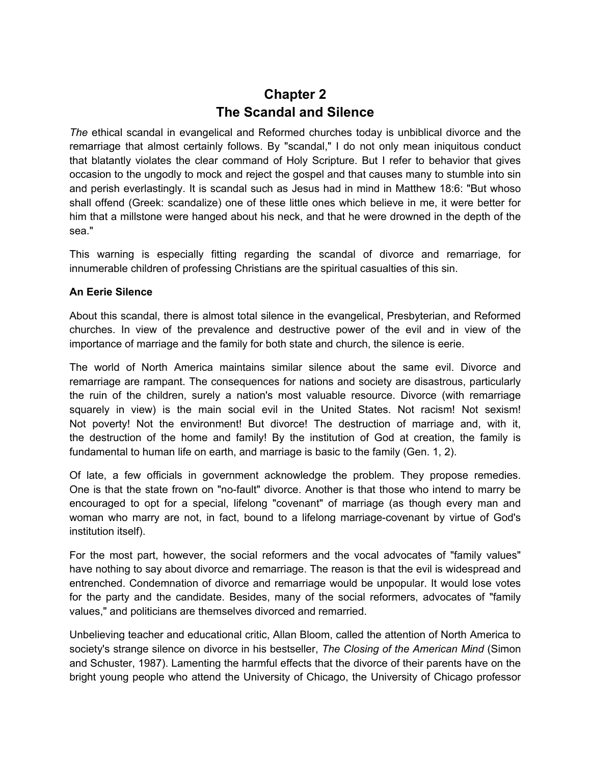### **Chapter 2 The Scandal and Silence**

<span id="page-6-0"></span>*The* ethical scandal in evangelical and Reformed churches today is unbiblical divorce and the remarriage that almost certainly follows. By "scandal," I do not only mean iniquitous conduct that blatantly violates the clear command of Holy Scripture. But I refer to behavior that gives occasion to the ungodly to mock and reject the gospel and that causes many to stumble into sin and perish everlastingly. It is scandal such as Jesus had in mind in Matthew 18:6: "But whoso shall offend (Greek: scandalize) one of these little ones which believe in me, it were better for him that a millstone were hanged about his neck, and that he were drowned in the depth of the sea."

This warning is especially fitting regarding the scandal of divorce and remarriage, for innumerable children of professing Christians are the spiritual casualties of this sin.

#### **An Eerie Silence**

About this scandal, there is almost total silence in the evangelical, Presbyterian, and Reformed churches. In view of the prevalence and destructive power of the evil and in view of the importance of marriage and the family for both state and church, the silence is eerie.

The world of North America maintains similar silence about the same evil. Divorce and remarriage are rampant. The consequences for nations and society are disastrous, particularly the ruin of the children, surely a nation's most valuable resource. Divorce (with remarriage squarely in view) is the main social evil in the United States. Not racism! Not sexism! Not poverty! Not the environment! But divorce! The destruction of marriage and, with it, the destruction of the home and family! By the institution of God at creation, the family is fundamental to human life on earth, and marriage is basic to the family (Gen. 1, 2).

Of late, a few officials in government acknowledge the problem. They propose remedies. One is that the state frown on "no-fault" divorce. Another is that those who intend to marry be encouraged to opt for a special, lifelong "covenant" of marriage (as though every man and woman who marry are not, in fact, bound to a lifelong marriage-covenant by virtue of God's institution itself).

For the most part, however, the social reformers and the vocal advocates of "family values" have nothing to say about divorce and remarriage. The reason is that the evil is widespread and entrenched. Condemnation of divorce and remarriage would be unpopular. It would lose votes for the party and the candidate. Besides, many of the social reformers, advocates of "family values," and politicians are themselves divorced and remarried.

Unbelieving teacher and educational critic, Allan Bloom, called the attention of North America to society's strange silence on divorce in his bestseller, *The Closing of the American Mind* (Simon and Schuster, 1987). Lamenting the harmful effects that the divorce of their parents have on the bright young people who attend the University of Chicago, the University of Chicago professor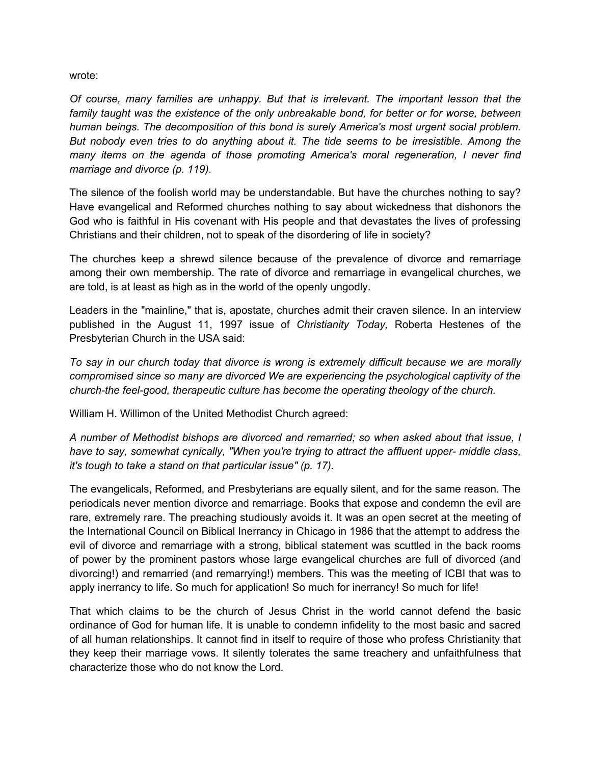wrote:

*Of course, many families are unhappy. But that is irrelevant. The important lesson that the family taught was the existence of the only unbreakable bond, for better or for worse, between human beings. The decomposition of this bond is surely America's most urgent social problem. But nobody even tries to do anything about it. The tide seems to be irresistible. Among the many items on the agenda of those promoting America's moral regeneration, I never find marriage and divorce (p. 119).*

The silence of the foolish world may be understandable. But have the churches nothing to say? Have evangelical and Reformed churches nothing to say about wickedness that dishonors the God who is faithful in His covenant with His people and that devastates the lives of professing Christians and their children, not to speak of the disordering of life in society?

The churches keep a shrewd silence because of the prevalence of divorce and remarriage among their own membership. The rate of divorce and remarriage in evangelical churches, we are told, is at least as high as in the world of the openly ungodly.

Leaders in the "mainline," that is, apostate, churches admit their craven silence. In an interview published in the August 11, 1997 issue of *Christianity Today,* Roberta Hestenes of the Presbyterian Church in the USA said:

*To say in our church today that divorce is wrong is extremely difficult because we are morally compromised since so many are divorced We are experiencing the psychological captivity of the church-the feel-good, therapeutic culture has become the operating theology of the church.*

William H. Willimon of the United Methodist Church agreed:

*A number of Methodist bishops are divorced and remarried; so when asked about that issue, I have to say, somewhat cynically, "When you're trying to attract the affluent upper- middle class, it's tough to take a stand on that particular issue" (p. 17).*

The evangelicals, Reformed, and Presbyterians are equally silent, and for the same reason. The periodicals never mention divorce and remarriage. Books that expose and condemn the evil are rare, extremely rare. The preaching studiously avoids it. It was an open secret at the meeting of the International Council on Biblical Inerrancy in Chicago in 1986 that the attempt to address the evil of divorce and remarriage with a strong, biblical statement was scuttled in the back rooms of power by the prominent pastors whose large evangelical churches are full of divorced (and divorcing!) and remarried (and remarrying!) members. This was the meeting of ICBI that was to apply inerrancy to life. So much for application! So much for inerrancy! So much for life!

That which claims to be the church of Jesus Christ in the world cannot defend the basic ordinance of God for human life. It is unable to condemn infidelity to the most basic and sacred of all human relationships. It cannot find in itself to require of those who profess Christianity that they keep their marriage vows. It silently tolerates the same treachery and unfaithfulness that characterize those who do not know the Lord.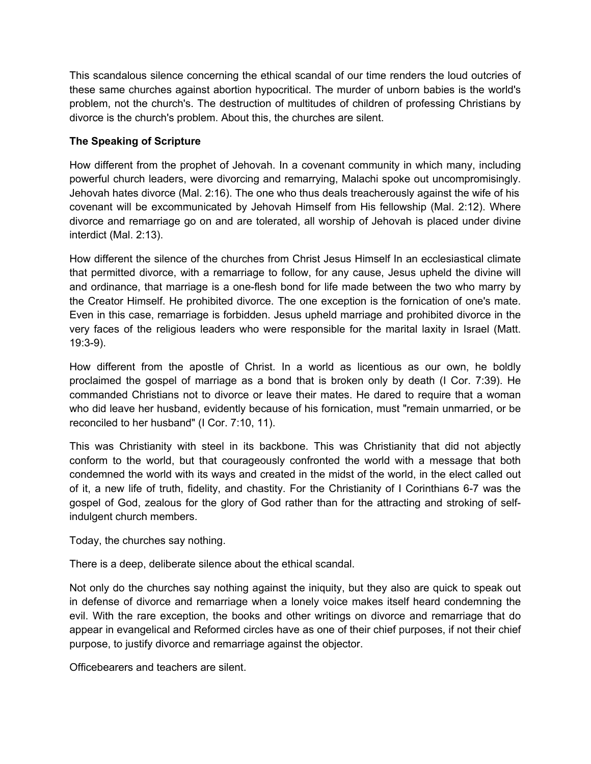This scandalous silence concerning the ethical scandal of our time renders the loud outcries of these same churches against abortion hypocritical. The murder of unborn babies is the world's problem, not the church's. The destruction of multitudes of children of professing Christians by divorce is the church's problem. About this, the churches are silent.

#### **The Speaking of Scripture**

How different from the prophet of Jehovah. In a covenant community in which many, including powerful church leaders, were divorcing and remarrying, Malachi spoke out uncompromisingly. Jehovah hates divorce (Mal. 2:16). The one who thus deals treacherously against the wife of his covenant will be excommunicated by Jehovah Himself from His fellowship (Mal. 2:12). Where divorce and remarriage go on and are tolerated, all worship of Jehovah is placed under divine interdict (Mal. 2:13).

How different the silence of the churches from Christ Jesus Himself In an ecclesiastical climate that permitted divorce, with a remarriage to follow, for any cause, Jesus upheld the divine will and ordinance, that marriage is a one-flesh bond for life made between the two who marry by the Creator Himself. He prohibited divorce. The one exception is the fornication of one's mate. Even in this case, remarriage is forbidden. Jesus upheld marriage and prohibited divorce in the very faces of the religious leaders who were responsible for the marital laxity in Israel (Matt. 19:3-9).

How different from the apostle of Christ. In a world as licentious as our own, he boldly proclaimed the gospel of marriage as a bond that is broken only by death (I Cor. 7:39). He commanded Christians not to divorce or leave their mates. He dared to require that a woman who did leave her husband, evidently because of his fornication, must "remain unmarried, or be reconciled to her husband" (I Cor. 7:10, 11).

This was Christianity with steel in its backbone. This was Christianity that did not abjectly conform to the world, but that courageously confronted the world with a message that both condemned the world with its ways and created in the midst of the world, in the elect called out of it, a new life of truth, fidelity, and chastity. For the Christianity of I Corinthians 6-7 was the gospel of God, zealous for the glory of God rather than for the attracting and stroking of selfindulgent church members.

Today, the churches say nothing.

There is a deep, deliberate silence about the ethical scandal.

Not only do the churches say nothing against the iniquity, but they also are quick to speak out in defense of divorce and remarriage when a lonely voice makes itself heard condemning the evil. With the rare exception, the books and other writings on divorce and remarriage that do appear in evangelical and Reformed circles have as one of their chief purposes, if not their chief purpose, to justify divorce and remarriage against the objector.

Officebearers and teachers are silent.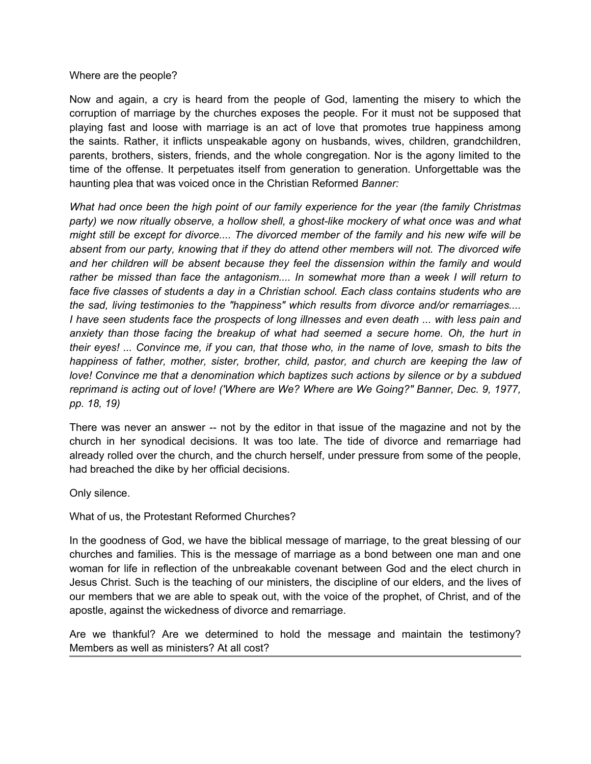#### Where are the people?

Now and again, a cry is heard from the people of God, lamenting the misery to which the corruption of marriage by the churches exposes the people. For it must not be supposed that playing fast and loose with marriage is an act of love that promotes true happiness among the saints. Rather, it inflicts unspeakable agony on husbands, wives, children, grandchildren, parents, brothers, sisters, friends, and the whole congregation. Nor is the agony limited to the time of the offense. It perpetuates itself from generation to generation. Unforgettable was the haunting plea that was voiced once in the Christian Reformed *Banner:*

*What had once been the high point of our family experience for the year (the family Christmas party) we now ritually observe, a hollow shell, a ghost-like mockery of what once was and what might still be except for divorce.... The divorced member of the family and his new wife will be absent from our party, knowing that if they do attend other members will not. The divorced wife and her children will be absent because they feel the dissension within the family and would rather be missed than face the antagonism.... In somewhat more than a week I will return to face five classes of students a day in a Christian school. Each class contains students who are the sad, living testimonies to the "happiness" which results from divorce and/or remarriages.... I have seen students face the prospects of long illnesses and even death ... with less pain and anxiety than those facing the breakup of what had seemed a secure home. Oh, the hurt in their eyes! ... Convince me, if you can, that those who, in the name of love, smash to bits the happiness of father, mother, sister, brother, child, pastor, and church are keeping the law of love! Convince me that a denomination which baptizes such actions by silence or by a subdued reprimand is acting out of love! ('Where are We? Where are We Going?" Banner, Dec. 9, 1977, pp. 18, 19)*

There was never an answer -- not by the editor in that issue of the magazine and not by the church in her synodical decisions. It was too late. The tide of divorce and remarriage had already rolled over the church, and the church herself, under pressure from some of the people, had breached the dike by her official decisions.

Only silence.

What of us, the Protestant Reformed Churches?

In the goodness of God, we have the biblical message of marriage, to the great blessing of our churches and families. This is the message of marriage as a bond between one man and one woman for life in reflection of the unbreakable covenant between God and the elect church in Jesus Christ. Such is the teaching of our ministers, the discipline of our elders, and the lives of our members that we are able to speak out, with the voice of the prophet, of Christ, and of the apostle, against the wickedness of divorce and remarriage.

Are we thankful? Are we determined to hold the message and maintain the testimony? Members as well as ministers? At all cost?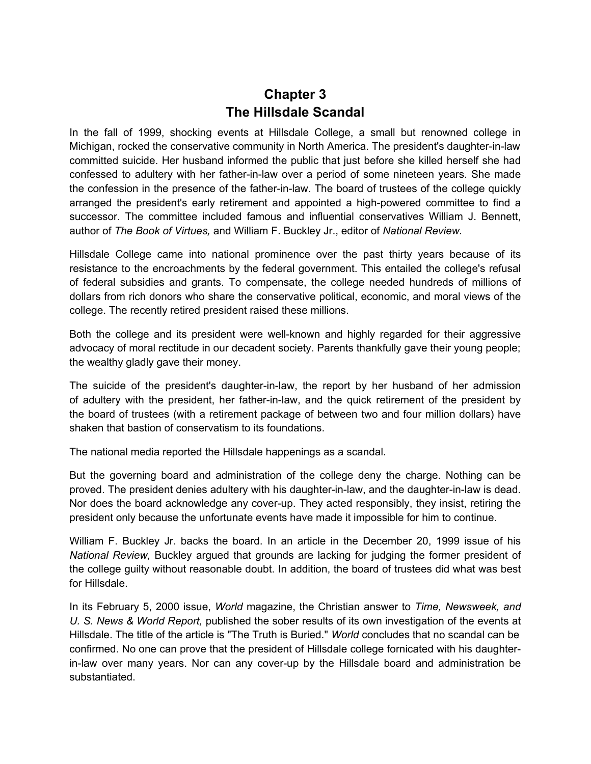### **Chapter 3 The Hillsdale Scandal**

<span id="page-10-0"></span>In the fall of 1999, shocking events at Hillsdale College, a small but renowned college in Michigan, rocked the conservative community in North America. The president's daughter-in-law committed suicide. Her husband informed the public that just before she killed herself she had confessed to adultery with her father-in-law over a period of some nineteen years. She made the confession in the presence of the father-in-law. The board of trustees of the college quickly arranged the president's early retirement and appointed a high-powered committee to find a successor. The committee included famous and influential conservatives William J. Bennett, author of *The Book of Virtues,* and William F. Buckley Jr., editor of *National Review.*

Hillsdale College came into national prominence over the past thirty years because of its resistance to the encroachments by the federal government. This entailed the college's refusal of federal subsidies and grants. To compensate, the college needed hundreds of millions of dollars from rich donors who share the conservative political, economic, and moral views of the college. The recently retired president raised these millions.

Both the college and its president were well-known and highly regarded for their aggressive advocacy of moral rectitude in our decadent society. Parents thankfully gave their young people; the wealthy gladly gave their money.

The suicide of the president's daughter-in-law, the report by her husband of her admission of adultery with the president, her father-in-law, and the quick retirement of the president by the board of trustees (with a retirement package of between two and four million dollars) have shaken that bastion of conservatism to its foundations.

The national media reported the Hillsdale happenings as a scandal.

But the governing board and administration of the college deny the charge. Nothing can be proved. The president denies adultery with his daughter-in-law, and the daughter-in-law is dead. Nor does the board acknowledge any cover-up. They acted responsibly, they insist, retiring the president only because the unfortunate events have made it impossible for him to continue.

William F. Buckley Jr. backs the board. In an article in the December 20, 1999 issue of his *National Review,* Buckley argued that grounds are lacking for judging the former president of the college guilty without reasonable doubt. In addition, the board of trustees did what was best for Hillsdale.

In its February 5, 2000 issue, *World* magazine, the Christian answer to *Time, Newsweek, and U. S. News & World Report,* published the sober results of its own investigation of the events at Hillsdale. The title of the article is "The Truth is Buried." *World* concludes that no scandal can be confirmed. No one can prove that the president of Hillsdale college fornicated with his daughterin-law over many years. Nor can any cover-up by the Hillsdale board and administration be substantiated.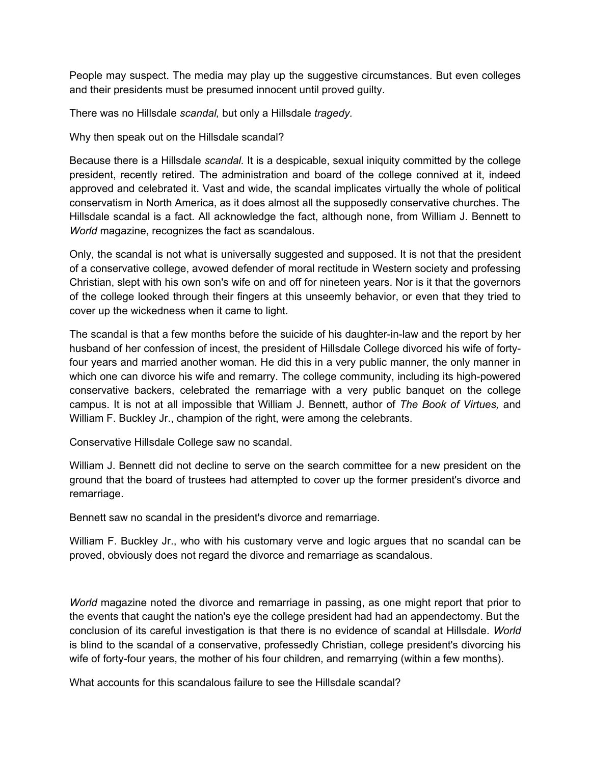People may suspect. The media may play up the suggestive circumstances. But even colleges and their presidents must be presumed innocent until proved guilty.

There was no Hillsdale *scandal,* but only a Hillsdale *tragedy.*

Why then speak out on the Hillsdale scandal?

Because there is a Hillsdale *scandal.* It is a despicable, sexual iniquity committed by the college president, recently retired. The administration and board of the college connived at it, indeed approved and celebrated it. Vast and wide, the scandal implicates virtually the whole of political conservatism in North America, as it does almost all the supposedly conservative churches. The Hillsdale scandal is a fact. All acknowledge the fact, although none, from William J. Bennett to *World* magazine, recognizes the fact as scandalous.

Only, the scandal is not what is universally suggested and supposed. It is not that the president of a conservative college, avowed defender of moral rectitude in Western society and professing Christian, slept with his own son's wife on and off for nineteen years. Nor is it that the governors of the college looked through their fingers at this unseemly behavior, or even that they tried to cover up the wickedness when it came to light.

The scandal is that a few months before the suicide of his daughter-in-law and the report by her husband of her confession of incest, the president of Hillsdale College divorced his wife of fortyfour years and married another woman. He did this in a very public manner, the only manner in which one can divorce his wife and remarry. The college community, including its high-powered conservative backers, celebrated the remarriage with a very public banquet on the college campus. It is not at all impossible that William J. Bennett, author of *The Book of Virtues,* and William F. Buckley Jr., champion of the right, were among the celebrants.

Conservative Hillsdale College saw no scandal.

William J. Bennett did not decline to serve on the search committee for a new president on the ground that the board of trustees had attempted to cover up the former president's divorce and remarriage.

Bennett saw no scandal in the president's divorce and remarriage.

William F. Buckley Jr., who with his customary verve and logic argues that no scandal can be proved, obviously does not regard the divorce and remarriage as scandalous.

*World* magazine noted the divorce and remarriage in passing, as one might report that prior to the events that caught the nation's eye the college president had had an appendectomy. But the conclusion of its careful investigation is that there is no evidence of scandal at Hillsdale. *World*  is blind to the scandal of a conservative, professedly Christian, college president's divorcing his wife of forty-four years, the mother of his four children, and remarrying (within a few months).

What accounts for this scandalous failure to see the Hillsdale scandal?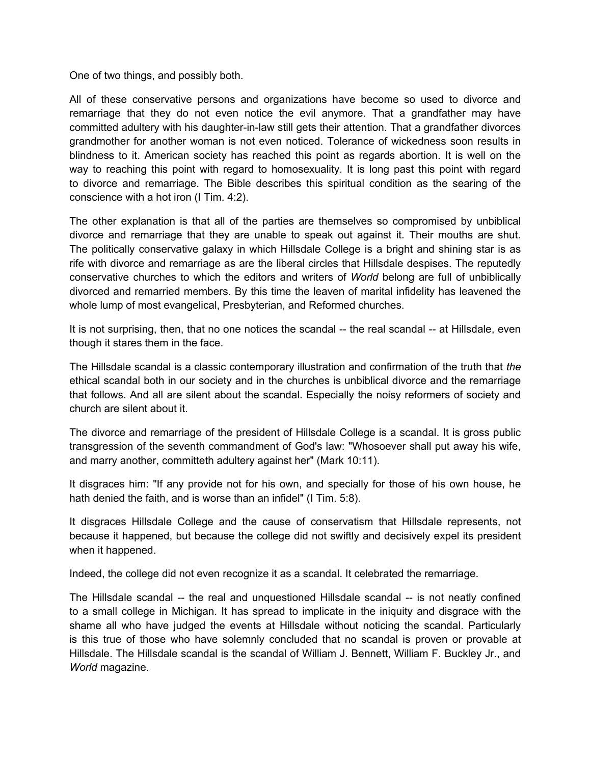One of two things, and possibly both.

All of these conservative persons and organizations have become so used to divorce and remarriage that they do not even notice the evil anymore. That a grandfather may have committed adultery with his daughter-in-law still gets their attention. That a grandfather divorces grandmother for another woman is not even noticed. Tolerance of wickedness soon results in blindness to it. American society has reached this point as regards abortion. It is well on the way to reaching this point with regard to homosexuality. It is long past this point with regard to divorce and remarriage. The Bible describes this spiritual condition as the searing of the conscience with a hot iron (I Tim. 4:2).

The other explanation is that all of the parties are themselves so compromised by unbiblical divorce and remarriage that they are unable to speak out against it. Their mouths are shut. The politically conservative galaxy in which Hillsdale College is a bright and shining star is as rife with divorce and remarriage as are the liberal circles that Hillsdale despises. The reputedly conservative churches to which the editors and writers of *World* belong are full of unbiblically divorced and remarried members. By this time the leaven of marital infidelity has leavened the whole lump of most evangelical, Presbyterian, and Reformed churches.

It is not surprising, then, that no one notices the scandal -- the real scandal -- at Hillsdale, even though it stares them in the face.

The Hillsdale scandal is a classic contemporary illustration and confirmation of the truth that *the*  ethical scandal both in our society and in the churches is unbiblical divorce and the remarriage that follows. And all are silent about the scandal. Especially the noisy reformers of society and church are silent about it.

The divorce and remarriage of the president of Hillsdale College is a scandal. It is gross public transgression of the seventh commandment of God's law: "Whosoever shall put away his wife, and marry another, committeth adultery against her" (Mark 10:11).

It disgraces him: "If any provide not for his own, and specially for those of his own house, he hath denied the faith, and is worse than an infidel" (I Tim. 5:8).

It disgraces Hillsdale College and the cause of conservatism that Hillsdale represents, not because it happened, but because the college did not swiftly and decisively expel its president when it happened.

Indeed, the college did not even recognize it as a scandal. It celebrated the remarriage.

The Hillsdale scandal -- the real and unquestioned Hillsdale scandal -- is not neatly confined to a small college in Michigan. It has spread to implicate in the iniquity and disgrace with the shame all who have judged the events at Hillsdale without noticing the scandal. Particularly is this true of those who have solemnly concluded that no scandal is proven or provable at Hillsdale. The Hillsdale scandal is the scandal of William J. Bennett, William F. Buckley Jr., and *World* magazine.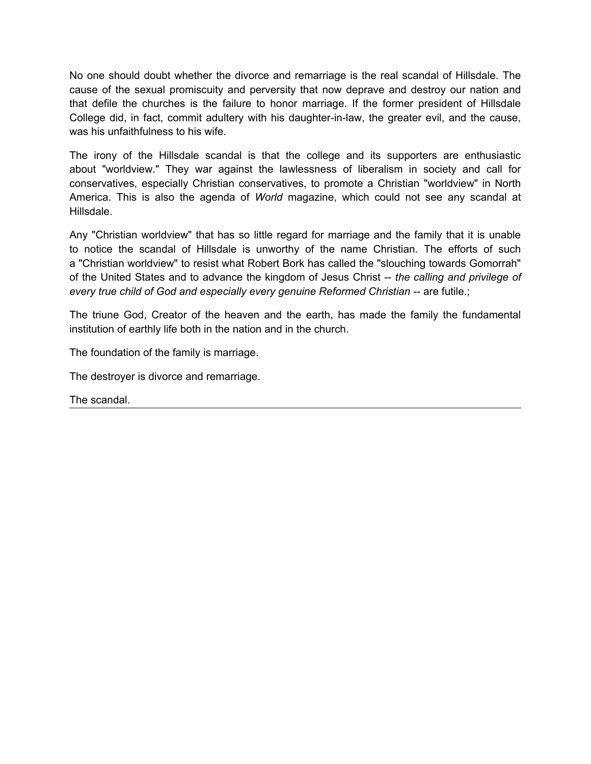No one should doubt whether the divorce and remarriage is the real scandal of Hillsdale. The cause of the sexual promiscuity and perversity that now deprave and destroy our nation and that defile the churches is the failure to honor marriage. If the former president of Hillsdale College did, in fact, commit adultery with his daughter-in-law, the greater evil, and the cause, was his unfaithfulness to his wife.

The irony of the Hillsdale scandal is that the college and its supporters are enthusiastic about "worldview." They war against the lawlessness of liberalism in society and call for conservatives, especially Christian conservatives, to promote a Christian "worldview" in North America. This is also the agenda of *World* magazine, which could not see any scandal at Hillsdale.

Any "Christian worldview" that has so little regard for marriage and the family that it is unable to notice the scandal of Hillsdale is unworthy of the name Christian. The efforts of such a "Christian worldview" to resist what Robert Bork has called the "slouching towards Gomorrah" of the United States and to advance the kingdom of Jesus Christ -- *the calling and privilege of every true child of God and especially every genuine Reformed Christian -- are futile.;* 

The triune God, Creator of the heaven and the earth, has made the family the fundamental institution of earthly life both in the nation and in the church.

The foundation of the family is marriage.

The destroyer is divorce and remarriage.

The scandal.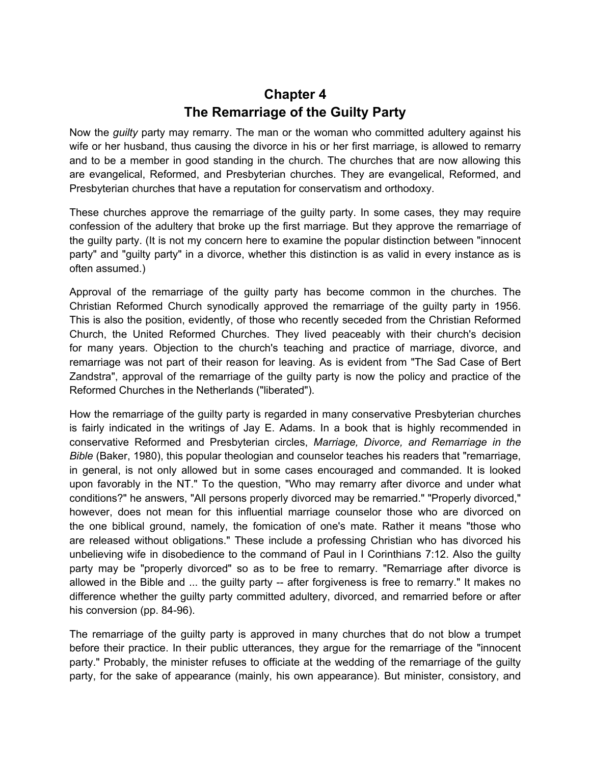### **Chapter 4 The Remarriage of the Guilty Party**

<span id="page-14-0"></span>Now the *guilty* party may remarry. The man or the woman who committed adultery against his wife or her husband, thus causing the divorce in his or her first marriage, is allowed to remarry and to be a member in good standing in the church. The churches that are now allowing this are evangelical, Reformed, and Presbyterian churches. They are evangelical, Reformed, and Presbyterian churches that have a reputation for conservatism and orthodoxy.

These churches approve the remarriage of the guilty party. In some cases, they may require confession of the adultery that broke up the first marriage. But they approve the remarriage of the guilty party. (It is not my concern here to examine the popular distinction between "innocent party" and "guilty party" in a divorce, whether this distinction is as valid in every instance as is often assumed.)

Approval of the remarriage of the guilty party has become common in the churches. The Christian Reformed Church synodically approved the remarriage of the guilty party in 1956. This is also the position, evidently, of those who recently seceded from the Christian Reformed Church, the United Reformed Churches. They lived peaceably with their church's decision for many years. Objection to the church's teaching and practice of marriage, divorce, and remarriage was not part of their reason for leaving. As is evident from "The Sad Case of Bert Zandstra", approval of the remarriage of the guilty party is now the policy and practice of the Reformed Churches in the Netherlands ("liberated").

How the remarriage of the guilty party is regarded in many conservative Presbyterian churches is fairly indicated in the writings of Jay E. Adams. In a book that is highly recommended in conservative Reformed and Presbyterian circles, *Marriage, Divorce, and Remarriage in the Bible* (Baker, 1980), this popular theologian and counselor teaches his readers that "remarriage, in general, is not only allowed but in some cases encouraged and commanded. It is looked upon favorably in the NT." To the question, "Who may remarry after divorce and under what conditions?" he answers, "All persons properly divorced may be remarried." "Properly divorced," however, does not mean for this influential marriage counselor those who are divorced on the one biblical ground, namely, the fomication of one's mate. Rather it means "those who are released without obligations." These include a professing Christian who has divorced his unbelieving wife in disobedience to the command of Paul in I Corinthians 7:12. Also the guilty party may be "properly divorced" so as to be free to remarry. "Remarriage after divorce is allowed in the Bible and ... the guilty party -- after forgiveness is free to remarry." It makes no difference whether the guilty party committed adultery, divorced, and remarried before or after his conversion (pp. 84-96).

The remarriage of the guilty party is approved in many churches that do not blow a trumpet before their practice. In their public utterances, they argue for the remarriage of the "innocent party." Probably, the minister refuses to officiate at the wedding of the remarriage of the guilty party, for the sake of appearance (mainly, his own appearance). But minister, consistory, and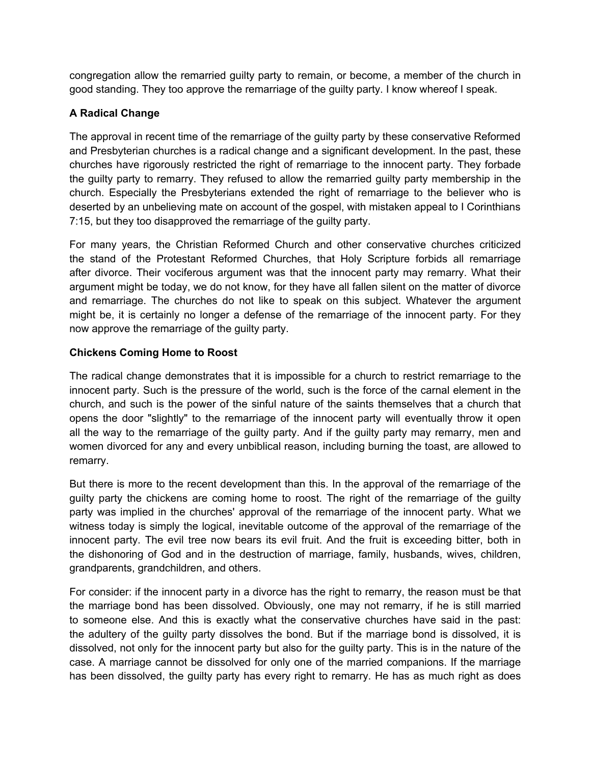congregation allow the remarried guilty party to remain, or become, a member of the church in good standing. They too approve the remarriage of the guilty party. I know whereof I speak.

#### **A Radical Change**

The approval in recent time of the remarriage of the guilty party by these conservative Reformed and Presbyterian churches is a radical change and a significant development. In the past, these churches have rigorously restricted the right of remarriage to the innocent party. They forbade the guilty party to remarry. They refused to allow the remarried guilty party membership in the church. Especially the Presbyterians extended the right of remarriage to the believer who is deserted by an unbelieving mate on account of the gospel, with mistaken appeal to I Corinthians 7:15, but they too disapproved the remarriage of the guilty party.

For many years, the Christian Reformed Church and other conservative churches criticized the stand of the Protestant Reformed Churches, that Holy Scripture forbids all remarriage after divorce. Their vociferous argument was that the innocent party may remarry. What their argument might be today, we do not know, for they have all fallen silent on the matter of divorce and remarriage. The churches do not like to speak on this subject. Whatever the argument might be, it is certainly no longer a defense of the remarriage of the innocent party. For they now approve the remarriage of the guilty party.

#### **Chickens Coming Home to Roost**

The radical change demonstrates that it is impossible for a church to restrict remarriage to the innocent party. Such is the pressure of the world, such is the force of the carnal element in the church, and such is the power of the sinful nature of the saints themselves that a church that opens the door "slightly" to the remarriage of the innocent party will eventually throw it open all the way to the remarriage of the guilty party. And if the guilty party may remarry, men and women divorced for any and every unbiblical reason, including burning the toast, are allowed to remarry.

But there is more to the recent development than this. In the approval of the remarriage of the guilty party the chickens are coming home to roost. The right of the remarriage of the guilty party was implied in the churches' approval of the remarriage of the innocent party. What we witness today is simply the logical, inevitable outcome of the approval of the remarriage of the innocent party. The evil tree now bears its evil fruit. And the fruit is exceeding bitter, both in the dishonoring of God and in the destruction of marriage, family, husbands, wives, children, grandparents, grandchildren, and others.

For consider: if the innocent party in a divorce has the right to remarry, the reason must be that the marriage bond has been dissolved. Obviously, one may not remarry, if he is still married to someone else. And this is exactly what the conservative churches have said in the past: the adultery of the guilty party dissolves the bond. But if the marriage bond is dissolved, it is dissolved, not only for the innocent party but also for the guilty party. This is in the nature of the case. A marriage cannot be dissolved for only one of the married companions. If the marriage has been dissolved, the guilty party has every right to remarry. He has as much right as does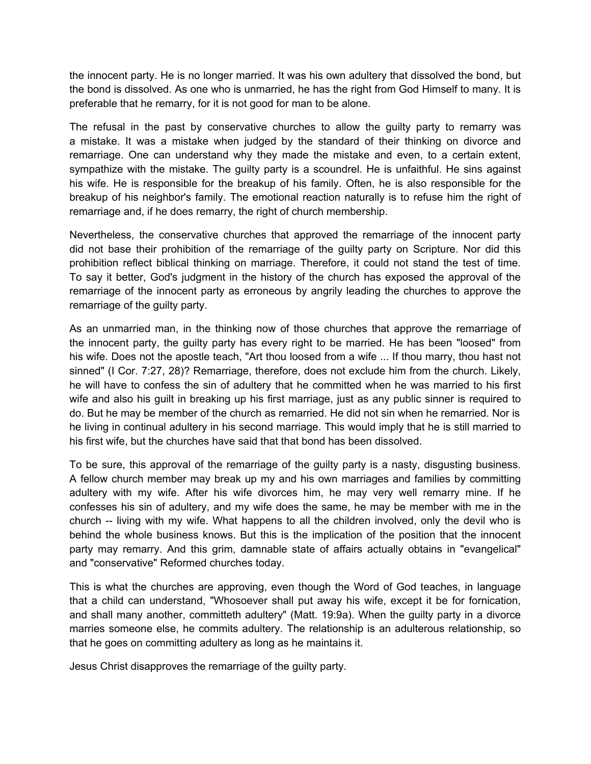the innocent party. He is no longer married. It was his own adultery that dissolved the bond, but the bond is dissolved. As one who is unmarried, he has the right from God Himself to many. It is preferable that he remarry, for it is not good for man to be alone.

The refusal in the past by conservative churches to allow the guilty party to remarry was a mistake. It was a mistake when judged by the standard of their thinking on divorce and remarriage. One can understand why they made the mistake and even, to a certain extent, sympathize with the mistake. The guilty party is a scoundrel. He is unfaithful. He sins against his wife. He is responsible for the breakup of his family. Often, he is also responsible for the breakup of his neighbor's family. The emotional reaction naturally is to refuse him the right of remarriage and, if he does remarry, the right of church membership.

Nevertheless, the conservative churches that approved the remarriage of the innocent party did not base their prohibition of the remarriage of the guilty party on Scripture. Nor did this prohibition reflect biblical thinking on marriage. Therefore, it could not stand the test of time. To say it better, God's judgment in the history of the church has exposed the approval of the remarriage of the innocent party as erroneous by angrily leading the churches to approve the remarriage of the guilty party.

As an unmarried man, in the thinking now of those churches that approve the remarriage of the innocent party, the guilty party has every right to be married. He has been "loosed" from his wife. Does not the apostle teach, "Art thou loosed from a wife ... If thou marry, thou hast not sinned" (I Cor. 7:27, 28)? Remarriage, therefore, does not exclude him from the church. Likely, he will have to confess the sin of adultery that he committed when he was married to his first wife and also his guilt in breaking up his first marriage, just as any public sinner is required to do. But he may be member of the church as remarried. He did not sin when he remarried. Nor is he living in continual adultery in his second marriage. This would imply that he is still married to his first wife, but the churches have said that that bond has been dissolved.

To be sure, this approval of the remarriage of the guilty party is a nasty, disgusting business. A fellow church member may break up my and his own marriages and families by committing adultery with my wife. After his wife divorces him, he may very well remarry mine. If he confesses his sin of adultery, and my wife does the same, he may be member with me in the church -- living with my wife. What happens to all the children involved, only the devil who is behind the whole business knows. But this is the implication of the position that the innocent party may remarry. And this grim, damnable state of affairs actually obtains in "evangelical" and "conservative" Reformed churches today.

This is what the churches are approving, even though the Word of God teaches, in language that a child can understand, "Whosoever shall put away his wife, except it be for fornication, and shall many another, committeth adultery" (Matt. 19:9a). When the guilty party in a divorce marries someone else, he commits adultery. The relationship is an adulterous relationship, so that he goes on committing adultery as long as he maintains it.

Jesus Christ disapproves the remarriage of the guilty party.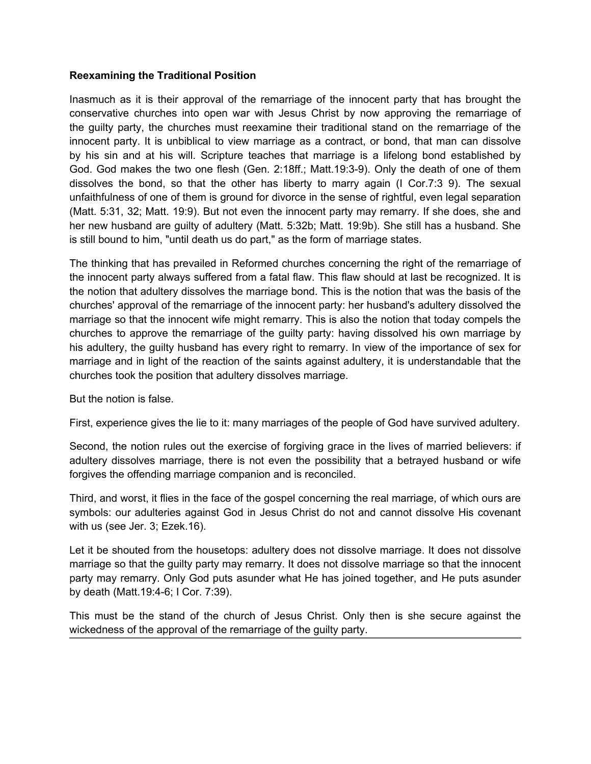#### **Reexamining the Traditional Position**

Inasmuch as it is their approval of the remarriage of the innocent party that has brought the conservative churches into open war with Jesus Christ by now approving the remarriage of the guilty party, the churches must reexamine their traditional stand on the remarriage of the innocent party. It is unbiblical to view marriage as a contract, or bond, that man can dissolve by his sin and at his will. Scripture teaches that marriage is a lifelong bond established by God. God makes the two one flesh (Gen. 2:18ff.; Matt.19:3-9). Only the death of one of them dissolves the bond, so that the other has liberty to marry again (I Cor.7:3 9). The sexual unfaithfulness of one of them is ground for divorce in the sense of rightful, even legal separation (Matt. 5:31, 32; Matt. 19:9). But not even the innocent party may remarry. If she does, she and her new husband are guilty of adultery (Matt. 5:32b; Matt. 19:9b). She still has a husband. She is still bound to him, "until death us do part," as the form of marriage states.

The thinking that has prevailed in Reformed churches concerning the right of the remarriage of the innocent party always suffered from a fatal flaw. This flaw should at last be recognized. It is the notion that adultery dissolves the marriage bond. This is the notion that was the basis of the churches' approval of the remarriage of the innocent party: her husband's adultery dissolved the marriage so that the innocent wife might remarry. This is also the notion that today compels the churches to approve the remarriage of the guilty party: having dissolved his own marriage by his adultery, the guilty husband has every right to remarry. In view of the importance of sex for marriage and in light of the reaction of the saints against adultery, it is understandable that the churches took the position that adultery dissolves marriage.

But the notion is false.

First, experience gives the lie to it: many marriages of the people of God have survived adultery.

Second, the notion rules out the exercise of forgiving grace in the lives of married believers: if adultery dissolves marriage, there is not even the possibility that a betrayed husband or wife forgives the offending marriage companion and is reconciled.

Third, and worst, it flies in the face of the gospel concerning the real marriage, of which ours are symbols: our adulteries against God in Jesus Christ do not and cannot dissolve His covenant with us (see Jer. 3; Ezek.16).

Let it be shouted from the housetops: adultery does not dissolve marriage. It does not dissolve marriage so that the guilty party may remarry. It does not dissolve marriage so that the innocent party may remarry. Only God puts asunder what He has joined together, and He puts asunder by death (Matt.19:4-6; I Cor. 7:39).

This must be the stand of the church of Jesus Christ. Only then is she secure against the wickedness of the approval of the remarriage of the guilty party.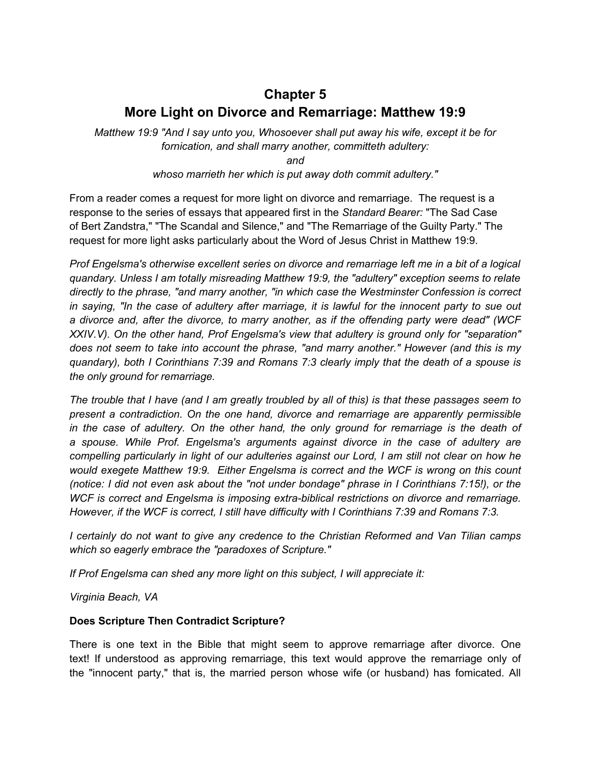## <span id="page-18-0"></span>**Chapter 5 More Light on Divorce and Remarriage: Matthew 19:9**

*Matthew 19:9 "And I say unto you, Whosoever shall put away his wife, except it be for fornication, and shall marry another, committeth adultery:*

*and*

*whoso marrieth her which is put away doth commit adultery."*

From a reader comes a request for more light on divorce and remarriage. The request is a response to the series of essays that appeared first in the *Standard Bearer:* "The Sad Case of Bert Zandstra," "The Scandal and Silence," and "The Remarriage of the Guilty Party." The request for more light asks particularly about the Word of Jesus Christ in Matthew 19:9.

*Prof Engelsma's otherwise excellent series on divorce and remarriage left me in a bit of a logical quandary. Unless I am totally misreading Matthew 19:9, the "adultery" exception seems to relate directly to the phrase, "and marry another, "in which case the Westminster Confession is correct in saying, "In the case of adultery after marriage, it is lawful for the innocent party to sue out a divorce and, after the divorce, to marry another, as if the offending party were dead" (WCF XXIV.V). On the other hand, Prof Engelsma's view that adultery is ground only for "separation" does not seem to take into account the phrase, "and marry another." However (and this is my quandary), both I Corinthians 7:39 and Romans 7:3 clearly imply that the death of a spouse is the only ground for remarriage.*

*The trouble that I have (and I am greatly troubled by all of this) is that these passages seem to present a contradiction. On the one hand, divorce and remarriage are apparently permissible in the case of adultery. On the other hand, the only ground for remarriage is the death of a spouse. While Prof. Engelsma's arguments against divorce in the case of adultery are compelling particularly in light of our adulteries against our Lord, I am still not clear on how he would exegete Matthew 19:9. Either Engelsma is correct and the WCF is wrong on this count (notice: I did not even ask about the "not under bondage" phrase in I Corinthians 7:15!), or the WCF is correct and Engelsma is imposing extra-biblical restrictions on divorce and remarriage. However, if the WCF is correct, I still have difficulty with I Corinthians 7:39 and Romans 7:3.*

*I certainly do not want to give any credence to the Christian Reformed and Van Tilian camps which so eagerly embrace the "paradoxes of Scripture."*

*If Prof Engelsma can shed any more light on this subject, I will appreciate it:*

*Virginia Beach, VA*

#### **Does Scripture Then Contradict Scripture?**

There is one text in the Bible that might seem to approve remarriage after divorce. One text! If understood as approving remarriage, this text would approve the remarriage only of the "innocent party," that is, the married person whose wife (or husband) has fomicated. All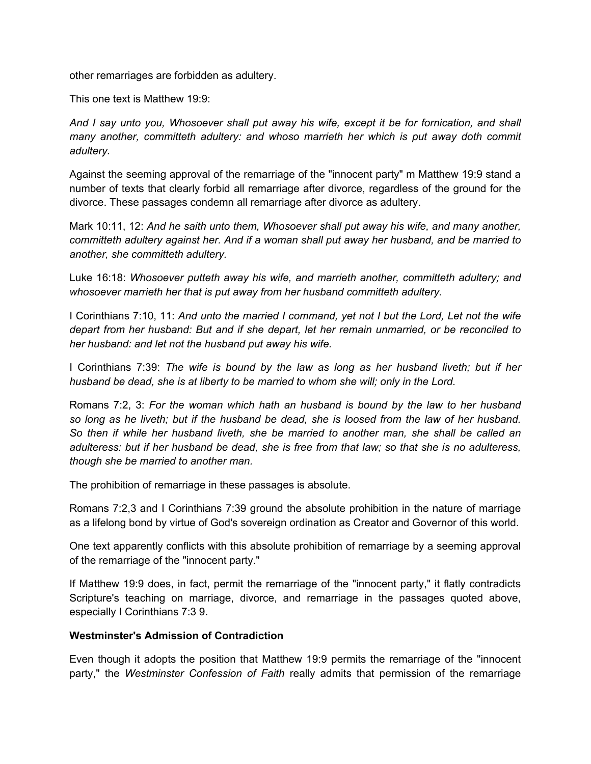other remarriages are forbidden as adultery.

This one text is Matthew 19:9:

*And I say unto you, Whosoever shall put away his wife, except it be for fornication, and shall many another, committeth adultery: and whoso marrieth her which is put away doth commit adultery.*

Against the seeming approval of the remarriage of the "innocent party" m Matthew 19:9 stand a number of texts that clearly forbid all remarriage after divorce, regardless of the ground for the divorce. These passages condemn all remarriage after divorce as adultery.

Mark 10:11, 12: *And he saith unto them, Whosoever shall put away his wife, and many another, committeth adultery against her. And if a woman shall put away her husband, and be married to another, she committeth adultery.*

Luke 16:18: *Whosoever putteth away his wife, and marrieth another, committeth adultery; and whosoever marrieth her that is put away from her husband committeth adultery.*

I Corinthians 7:10, 11: *And unto the married I command, yet not I but the Lord, Let not the wife depart from her husband: But and if she depart, let her remain unmarried, or be reconciled to her husband: and let not the husband put away his wife.*

I Corinthians 7:39: *The wife is bound by the law as long as her husband liveth; but if her husband be dead, she is at liberty to be married to whom she will; only in the Lord.*

Romans 7:2, 3: *For the woman which hath an husband is bound by the law to her husband so long as he liveth; but if the husband be dead, she is loosed from the law of her husband. So then if while her husband liveth, she be married to another man, she shall be called an adulteress: but if her husband be dead, she is free from that law; so that she is no adulteress, though she be married to another man.*

The prohibition of remarriage in these passages is absolute.

Romans 7:2,3 and I Corinthians 7:39 ground the absolute prohibition in the nature of marriage as a lifelong bond by virtue of God's sovereign ordination as Creator and Governor of this world.

One text apparently conflicts with this absolute prohibition of remarriage by a seeming approval of the remarriage of the "innocent party."

If Matthew 19:9 does, in fact, permit the remarriage of the "innocent party," it flatly contradicts Scripture's teaching on marriage, divorce, and remarriage in the passages quoted above, especially I Corinthians 7:3 9.

#### **Westminster's Admission of Contradiction**

Even though it adopts the position that Matthew 19:9 permits the remarriage of the "innocent party," the *Westminster Confession of Faith* really admits that permission of the remarriage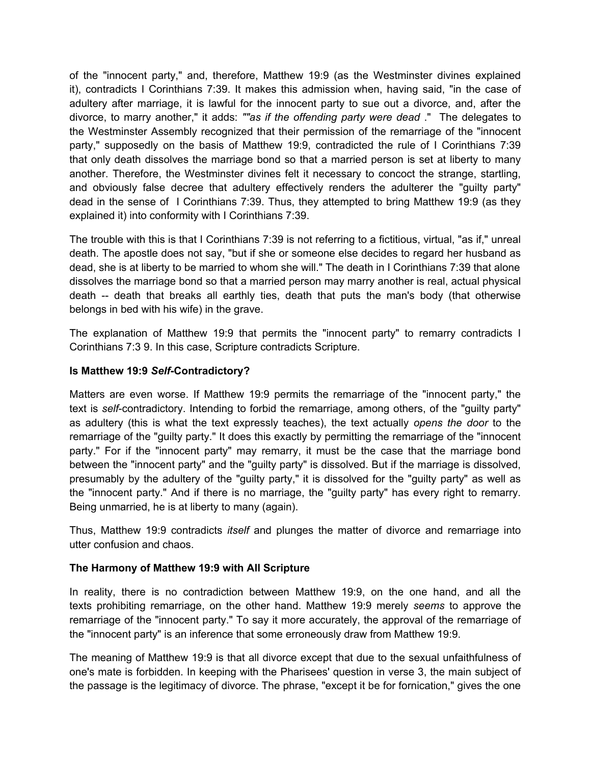of the "innocent party," and, therefore, Matthew 19:9 (as the Westminster divines explained it), contradicts I Corinthians 7:39. It makes this admission when, having said, "in the case of adultery after marriage, it is lawful for the innocent party to sue out a divorce, and, after the divorce, to marry another," it adds: *""as if the offending party were dead* ." The delegates to the Westminster Assembly recognized that their permission of the remarriage of the "innocent party," supposedly on the basis of Matthew 19:9, contradicted the rule of I Corinthians 7:39 that only death dissolves the marriage bond so that a married person is set at liberty to many another. Therefore, the Westminster divines felt it necessary to concoct the strange, startling, and obviously false decree that adultery effectively renders the adulterer the "guilty party" dead in the sense of I Corinthians 7:39. Thus, they attempted to bring Matthew 19:9 (as they explained it) into conformity with I Corinthians 7:39.

The trouble with this is that I Corinthians 7:39 is not referring to a fictitious, virtual, "as if," unreal death. The apostle does not say, "but if she or someone else decides to regard her husband as dead, she is at liberty to be married to whom she will." The death in I Corinthians 7:39 that alone dissolves the marriage bond so that a married person may marry another is real, actual physical death -- death that breaks all earthly ties, death that puts the man's body (that otherwise belongs in bed with his wife) in the grave.

The explanation of Matthew 19:9 that permits the "innocent party" to remarry contradicts I Corinthians 7:3 9. In this case, Scripture contradicts Scripture.

#### **Is Matthew 19:9** *Self***-Contradictory?**

Matters are even worse. If Matthew 19:9 permits the remarriage of the "innocent party," the text is *self*-contradictory. Intending to forbid the remarriage, among others, of the "guilty party" as adultery (this is what the text expressly teaches), the text actually *opens the door* to the remarriage of the "guilty party." It does this exactly by permitting the remarriage of the "innocent party." For if the "innocent party" may remarry, it must be the case that the marriage bond between the "innocent party" and the "guilty party" is dissolved. But if the marriage is dissolved, presumably by the adultery of the "guilty party," it is dissolved for the "guilty party" as well as the "innocent party." And if there is no marriage, the "guilty party" has every right to remarry. Being unmarried, he is at liberty to many (again).

Thus, Matthew 19:9 contradicts *itself* and plunges the matter of divorce and remarriage into utter confusion and chaos.

#### **The Harmony of Matthew 19:9 with All Scripture**

In reality, there is no contradiction between Matthew 19:9, on the one hand, and all the texts prohibiting remarriage, on the other hand. Matthew 19:9 merely *seems* to approve the remarriage of the "innocent party." To say it more accurately, the approval of the remarriage of the "innocent party" is an inference that some erroneously draw from Matthew 19:9.

The meaning of Matthew 19:9 is that all divorce except that due to the sexual unfaithfulness of one's mate is forbidden. In keeping with the Pharisees' question in verse 3, the main subject of the passage is the legitimacy of divorce. The phrase, "except it be for fornication," gives the one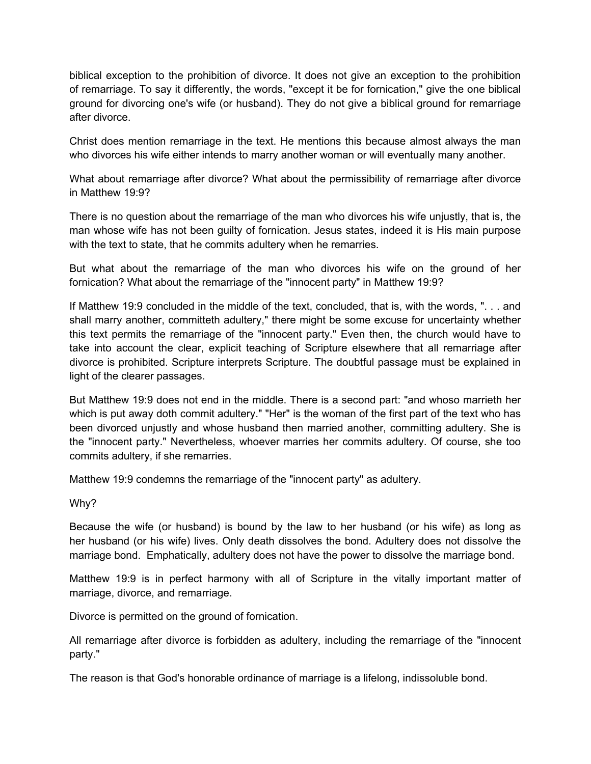biblical exception to the prohibition of divorce. It does not give an exception to the prohibition of remarriage. To say it differently, the words, "except it be for fornication," give the one biblical ground for divorcing one's wife (or husband). They do not give a biblical ground for remarriage after divorce.

Christ does mention remarriage in the text. He mentions this because almost always the man who divorces his wife either intends to marry another woman or will eventually many another.

What about remarriage after divorce? What about the permissibility of remarriage after divorce in Matthew 19:9?

There is no question about the remarriage of the man who divorces his wife unjustly, that is, the man whose wife has not been guilty of fornication. Jesus states, indeed it is His main purpose with the text to state, that he commits adultery when he remarries.

But what about the remarriage of the man who divorces his wife on the ground of her fornication? What about the remarriage of the "innocent party" in Matthew 19:9?

If Matthew 19:9 concluded in the middle of the text, concluded, that is, with the words, ". . . and shall marry another, committeth adultery," there might be some excuse for uncertainty whether this text permits the remarriage of the "innocent party." Even then, the church would have to take into account the clear, explicit teaching of Scripture elsewhere that all remarriage after divorce is prohibited. Scripture interprets Scripture. The doubtful passage must be explained in light of the clearer passages.

But Matthew 19:9 does not end in the middle. There is a second part: "and whoso marrieth her which is put away doth commit adultery." "Her" is the woman of the first part of the text who has been divorced unjustly and whose husband then married another, committing adultery. She is the "innocent party." Nevertheless, whoever marries her commits adultery. Of course, she too commits adultery, if she remarries.

Matthew 19:9 condemns the remarriage of the "innocent party" as adultery.

Why?

Because the wife (or husband) is bound by the law to her husband (or his wife) as long as her husband (or his wife) lives. Only death dissolves the bond. Adultery does not dissolve the marriage bond. Emphatically, adultery does not have the power to dissolve the marriage bond.

Matthew 19:9 is in perfect harmony with all of Scripture in the vitally important matter of marriage, divorce, and remarriage.

Divorce is permitted on the ground of fornication.

All remarriage after divorce is forbidden as adultery, including the remarriage of the "innocent party."

The reason is that God's honorable ordinance of marriage is a lifelong, indissoluble bond.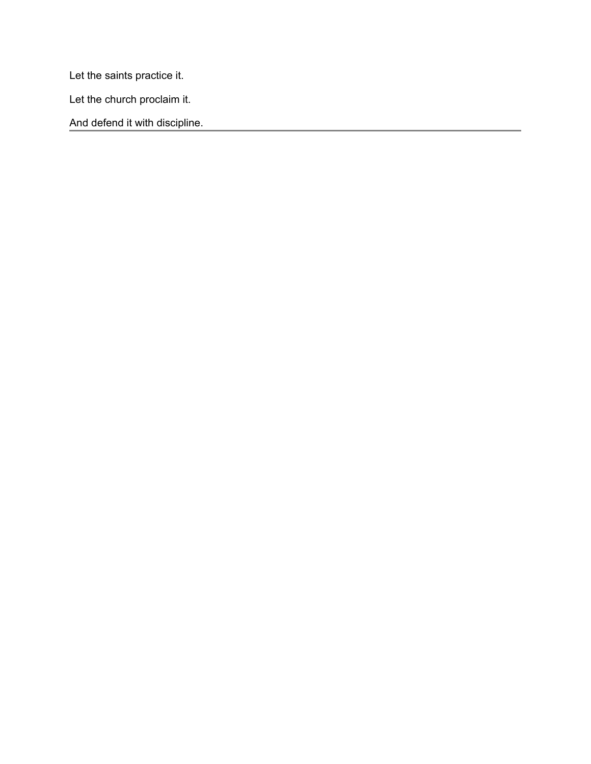Let the saints practice it.

Let the church proclaim it.

And defend it with discipline.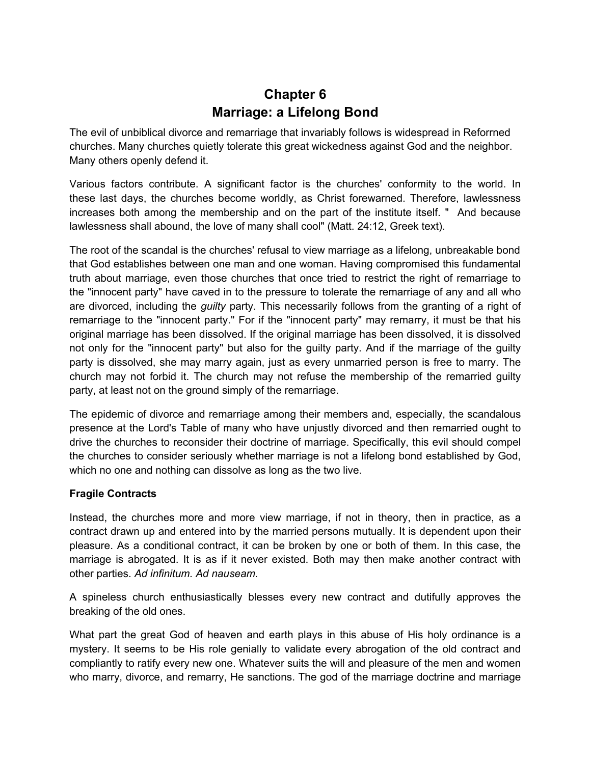### **Chapter 6 Marriage: a Lifelong Bond**

<span id="page-23-0"></span>The evil of unbiblical divorce and remarriage that invariably follows is widespread in Reforrned churches. Many churches quietly tolerate this great wickedness against God and the neighbor. Many others openly defend it.

Various factors contribute. A significant factor is the churches' conformity to the world. In these last days, the churches become worldly, as Christ forewarned. Therefore, lawlessness increases both among the membership and on the part of the institute itself. " And because lawlessness shall abound, the love of many shall cool" (Matt. 24:12, Greek text).

The root of the scandal is the churches' refusal to view marriage as a lifelong, unbreakable bond that God establishes between one man and one woman. Having compromised this fundamental truth about marriage, even those churches that once tried to restrict the right of remarriage to the "innocent party" have caved in to the pressure to tolerate the remarriage of any and all who are divorced, including the *guilty* party. This necessarily follows from the granting of a right of remarriage to the "innocent party." For if the "innocent party" may remarry, it must be that his original marriage has been dissolved. If the original marriage has been dissolved, it is dissolved not only for the "innocent party" but also for the guilty party. And if the marriage of the guilty party is dissolved, she may marry again, just as every unmarried person is free to marry. The church may not forbid it. The church may not refuse the membership of the remarried guilty party, at least not on the ground simply of the remarriage.

The epidemic of divorce and remarriage among their members and, especially, the scandalous presence at the Lord's Table of many who have unjustly divorced and then remarried ought to drive the churches to reconsider their doctrine of marriage. Specifically, this evil should compel the churches to consider seriously whether marriage is not a lifelong bond established by God, which no one and nothing can dissolve as long as the two live.

#### **Fragile Contracts**

Instead, the churches more and more view marriage, if not in theory, then in practice, as a contract drawn up and entered into by the married persons mutually. It is dependent upon their pleasure. As a conditional contract, it can be broken by one or both of them. In this case, the marriage is abrogated. It is as if it never existed. Both may then make another contract with other parties. *Ad infinitum. Ad nauseam.*

A spineless church enthusiastically blesses every new contract and dutifully approves the breaking of the old ones.

What part the great God of heaven and earth plays in this abuse of His holy ordinance is a mystery. It seems to be His role genially to validate every abrogation of the old contract and compliantly to ratify every new one. Whatever suits the will and pleasure of the men and women who marry, divorce, and remarry, He sanctions. The god of the marriage doctrine and marriage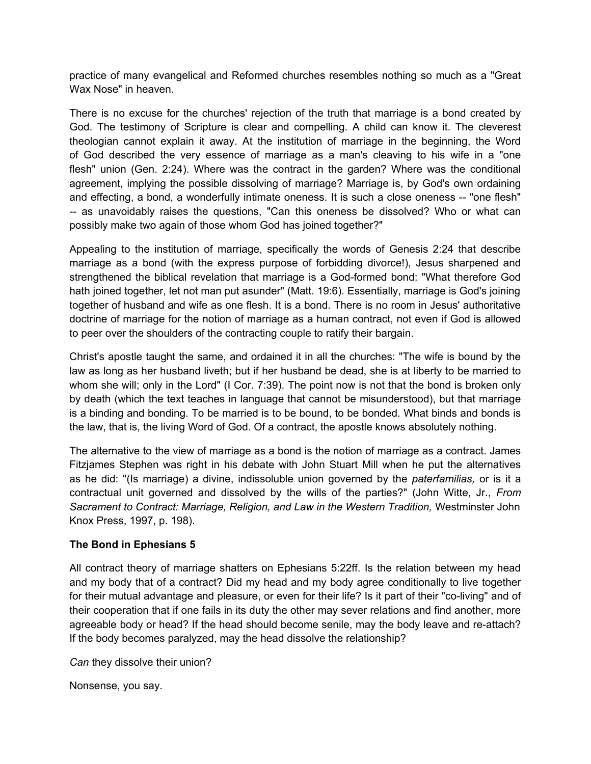practice of many evangelical and Reformed churches resembles nothing so much as a "Great Wax Nose" in heaven.

There is no excuse for the churches' rejection of the truth that marriage is a bond created by God. The testimony of Scripture is clear and compelling. A child can know it. The cleverest theologian cannot explain it away. At the institution of marriage in the beginning, the Word of God described the very essence of marriage as a man's cleaving to his wife in a "one flesh" union (Gen. 2:24). Where was the contract in the garden? Where was the conditional agreement, implying the possible dissolving of marriage? Marriage is, by God's own ordaining and effecting, a bond, a wonderfully intimate oneness. It is such a close oneness -- "one flesh" -- as unavoidably raises the questions, "Can this oneness be dissolved? Who or what can possibly make two again of those whom God has joined together?"

Appealing to the institution of marriage, specifically the words of Genesis 2:24 that describe marriage as a bond (with the express purpose of forbidding divorce!), Jesus sharpened and strengthened the biblical revelation that marriage is a God-formed bond: "What therefore God hath joined together, let not man put asunder" (Matt. 19:6). Essentially, marriage is God's joining together of husband and wife as one flesh. It is a bond. There is no room in Jesus' authoritative doctrine of marriage for the notion of marriage as a human contract, not even if God is allowed to peer over the shoulders of the contracting couple to ratify their bargain.

Christ's apostle taught the same, and ordained it in all the churches: "The wife is bound by the law as long as her husband liveth; but if her husband be dead, she is at liberty to be married to whom she will; only in the Lord" (I Cor. 7:39). The point now is not that the bond is broken only by death (which the text teaches in language that cannot be misunderstood), but that marriage is a binding and bonding. To be married is to be bound, to be bonded. What binds and bonds is the law, that is, the living Word of God. Of a contract, the apostle knows absolutely nothing.

The alternative to the view of marriage as a bond is the notion of marriage as a contract. James Fitzjames Stephen was right in his debate with John Stuart Mill when he put the alternatives as he did: "(Is marriage) a divine, indissoluble union governed by the *paterfamilias,* or is it a contractual unit governed and dissolved by the wills of the parties?" (John Witte, Jr., *From*  Sacrament to Contract: Marriage, Religion, and Law in the Western Tradition, Westminster John Knox Press, 1997, p. 198).

#### **The Bond in Ephesians 5**

All contract theory of marriage shatters on Ephesians 5:22ff. Is the relation between my head and my body that of a contract? Did my head and my body agree conditionally to live together for their mutual advantage and pleasure, or even for their life? Is it part of their "co-living" and of their cooperation that if one fails in its duty the other may sever relations and find another, more agreeable body or head? If the head should become senile, may the body leave and re-attach? If the body becomes paralyzed, may the head dissolve the relationship?

*Can* they dissolve their union?

Nonsense, you say.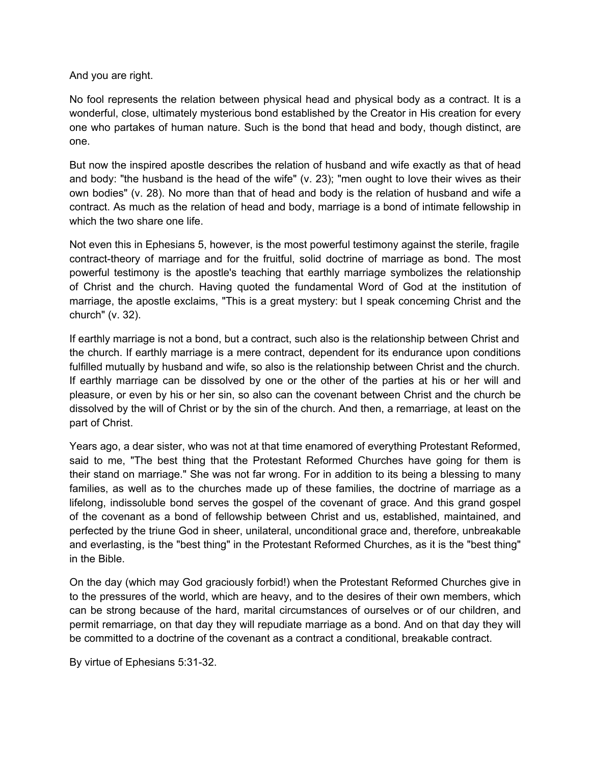And you are right.

No fool represents the relation between physical head and physical body as a contract. It is a wonderful, close, ultimately mysterious bond established by the Creator in His creation for every one who partakes of human nature. Such is the bond that head and body, though distinct, are one.

But now the inspired apostle describes the relation of husband and wife exactly as that of head and body: "the husband is the head of the wife" (v. 23); "men ought to love their wives as their own bodies" (v. 28). No more than that of head and body is the relation of husband and wife a contract. As much as the relation of head and body, marriage is a bond of intimate fellowship in which the two share one life.

Not even this in Ephesians 5, however, is the most powerful testimony against the sterile, fragile contract-theory of marriage and for the fruitful, solid doctrine of marriage as bond. The most powerful testimony is the apostle's teaching that earthly marriage symbolizes the relationship of Christ and the church. Having quoted the fundamental Word of God at the institution of marriage, the apostle exclaims, "This is a great mystery: but I speak conceming Christ and the church" (v. 32).

If earthly marriage is not a bond, but a contract, such also is the relationship between Christ and the church. If earthly marriage is a mere contract, dependent for its endurance upon conditions fulfilled mutually by husband and wife, so also is the relationship between Christ and the church. If earthly marriage can be dissolved by one or the other of the parties at his or her will and pleasure, or even by his or her sin, so also can the covenant between Christ and the church be dissolved by the will of Christ or by the sin of the church. And then, a remarriage, at least on the part of Christ.

Years ago, a dear sister, who was not at that time enamored of everything Protestant Reformed, said to me, "The best thing that the Protestant Reformed Churches have going for them is their stand on marriage." She was not far wrong. For in addition to its being a blessing to many families, as well as to the churches made up of these families, the doctrine of marriage as a lifelong, indissoluble bond serves the gospel of the covenant of grace. And this grand gospel of the covenant as a bond of fellowship between Christ and us, established, maintained, and perfected by the triune God in sheer, unilateral, unconditional grace and, therefore, unbreakable and everlasting, is the "best thing" in the Protestant Reformed Churches, as it is the "best thing" in the Bible.

On the day (which may God graciously forbid!) when the Protestant Reformed Churches give in to the pressures of the world, which are heavy, and to the desires of their own members, which can be strong because of the hard, marital circumstances of ourselves or of our children, and permit remarriage, on that day they will repudiate marriage as a bond. And on that day they will be committed to a doctrine of the covenant as a contract a conditional, breakable contract.

By virtue of Ephesians 5:31-32.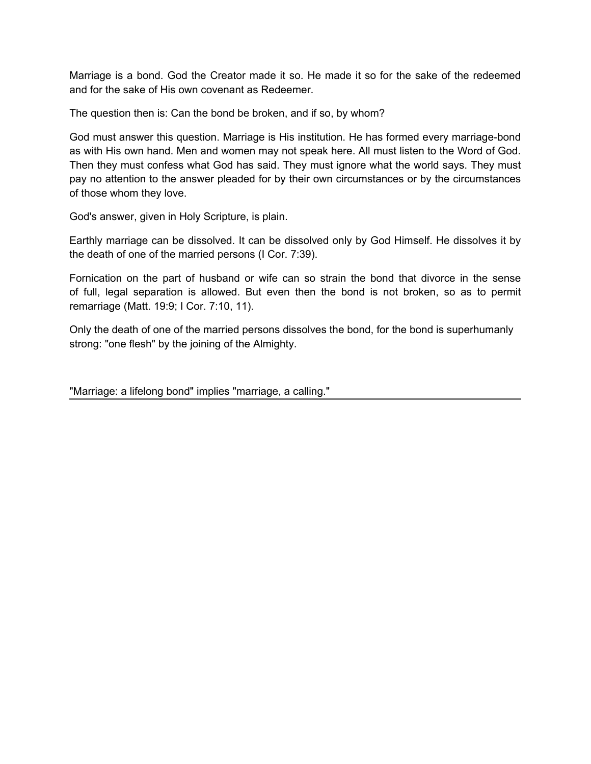Marriage is a bond. God the Creator made it so. He made it so for the sake of the redeemed and for the sake of His own covenant as Redeemer.

The question then is: Can the bond be broken, and if so, by whom?

God must answer this question. Marriage is His institution. He has formed every marriage-bond as with His own hand. Men and women may not speak here. All must listen to the Word of God. Then they must confess what God has said. They must ignore what the world says. They must pay no attention to the answer pleaded for by their own circumstances or by the circumstances of those whom they love.

God's answer, given in Holy Scripture, is plain.

Earthly marriage can be dissolved. It can be dissolved only by God Himself. He dissolves it by the death of one of the married persons (I Cor. 7:39).

Fornication on the part of husband or wife can so strain the bond that divorce in the sense of full, legal separation is allowed. But even then the bond is not broken, so as to permit remarriage (Matt. 19:9; I Cor. 7:10, 11).

Only the death of one of the married persons dissolves the bond, for the bond is superhumanly strong: "one flesh" by the joining of the Almighty.

"Marriage: a lifelong bond" implies "marriage, a calling."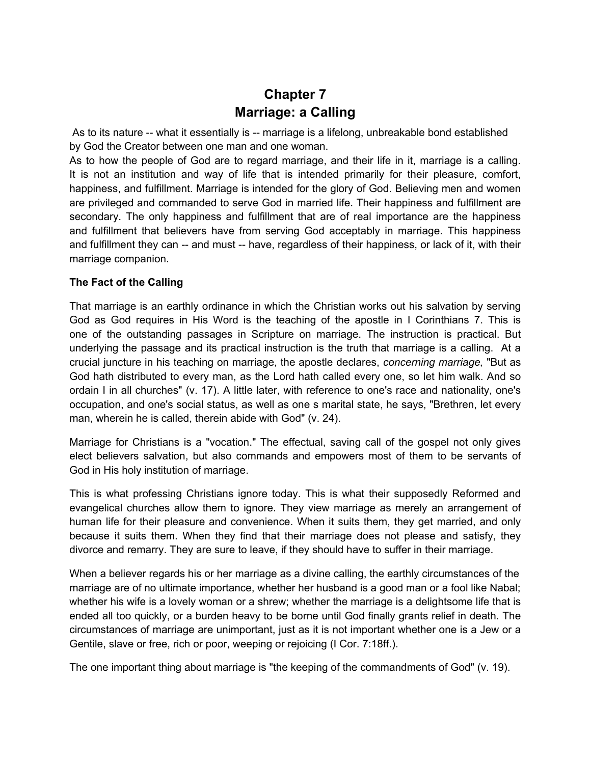## **Chapter 7 Marriage: a Calling**

<span id="page-27-0"></span>As to its nature -- what it essentially is -- marriage is a lifelong, unbreakable bond established by God the Creator between one man and one woman.

As to how the people of God are to regard marriage, and their life in it, marriage is a calling. It is not an institution and way of life that is intended primarily for their pleasure, comfort, happiness, and fulfillment. Marriage is intended for the glory of God. Believing men and women are privileged and commanded to serve God in married life. Their happiness and fulfillment are secondary. The only happiness and fulfillment that are of real importance are the happiness and fulfillment that believers have from serving God acceptably in marriage. This happiness and fulfillment they can -- and must -- have, regardless of their happiness, or lack of it, with their marriage companion.

#### **The Fact of the Calling**

That marriage is an earthly ordinance in which the Christian works out his salvation by serving God as God requires in His Word is the teaching of the apostle in I Corinthians 7. This is one of the outstanding passages in Scripture on marriage. The instruction is practical. But underlying the passage and its practical instruction is the truth that marriage is a calling. At a crucial juncture in his teaching on marriage, the apostle declares, *concerning marriage,* "But as God hath distributed to every man, as the Lord hath called every one, so let him walk. And so ordain I in all churches" (v. 17). A little later, with reference to one's race and nationality, one's occupation, and one's social status, as well as one s marital state, he says, "Brethren, let every man, wherein he is called, therein abide with God" (v. 24).

Marriage for Christians is a "vocation." The effectual, saving call of the gospel not only gives elect believers salvation, but also commands and empowers most of them to be servants of God in His holy institution of marriage.

This is what professing Christians ignore today. This is what their supposedly Reformed and evangelical churches allow them to ignore. They view marriage as merely an arrangement of human life for their pleasure and convenience. When it suits them, they get married, and only because it suits them. When they find that their marriage does not please and satisfy, they divorce and remarry. They are sure to leave, if they should have to suffer in their marriage.

When a believer regards his or her marriage as a divine calling, the earthly circumstances of the marriage are of no ultimate importance, whether her husband is a good man or a fool like Nabal; whether his wife is a lovely woman or a shrew; whether the marriage is a delightsome life that is ended all too quickly, or a burden heavy to be borne until God finally grants relief in death. The circumstances of marriage are unimportant, just as it is not important whether one is a Jew or a Gentile, slave or free, rich or poor, weeping or rejoicing (I Cor. 7:18ff.).

The one important thing about marriage is "the keeping of the commandments of God" (v. 19).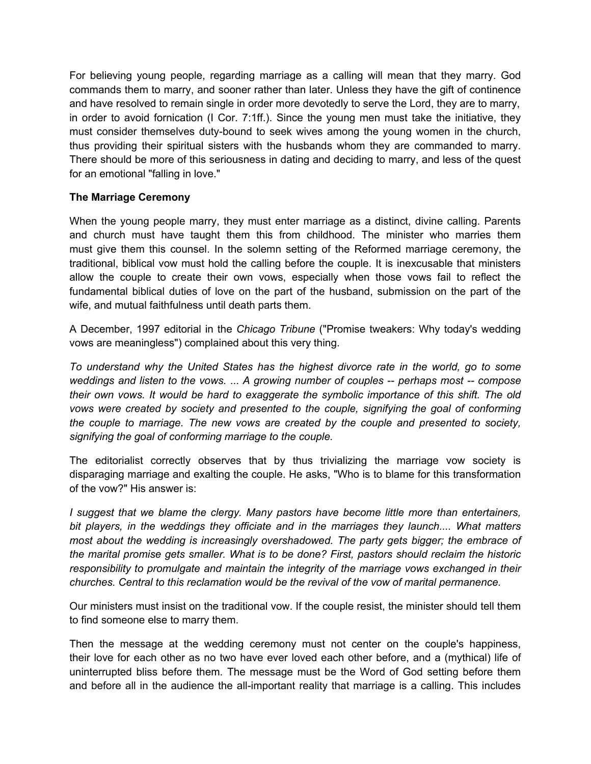For believing young people, regarding marriage as a calling will mean that they marry. God commands them to marry, and sooner rather than later. Unless they have the gift of continence and have resolved to remain single in order more devotedly to serve the Lord, they are to marry, in order to avoid fornication (I Cor. 7:1ff.). Since the young men must take the initiative, they must consider themselves duty-bound to seek wives among the young women in the church, thus providing their spiritual sisters with the husbands whom they are commanded to marry. There should be more of this seriousness in dating and deciding to marry, and less of the quest for an emotional "falling in love."

#### **The Marriage Ceremony**

When the young people marry, they must enter marriage as a distinct, divine calling. Parents and church must have taught them this from childhood. The minister who marries them must give them this counsel. In the solemn setting of the Reformed marriage ceremony, the traditional, biblical vow must hold the calling before the couple. It is inexcusable that ministers allow the couple to create their own vows, especially when those vows fail to reflect the fundamental biblical duties of love on the part of the husband, submission on the part of the wife, and mutual faithfulness until death parts them.

A December, 1997 editorial in the *Chicago Tribune* ("Promise tweakers: Why today's wedding vows are meaningless") complained about this very thing.

*To understand why the United States has the highest divorce rate in the world, go to some weddings and listen to the vows.* ... *A growing number of couples* -- *perhaps most -- compose their own vows. It would be hard to exaggerate the symbolic importance of this shift. The old vows were created by society and presented to the couple, signifying the goal of conforming the couple to marriage. The new vows are created by the couple and presented to society, signifying the goal of conforming marriage to the couple.*

The editorialist correctly observes that by thus trivializing the marriage vow society is disparaging marriage and exalting the couple. He asks, "Who is to blame for this transformation of the vow?" His answer is:

*I suggest that we blame the clergy. Many pastors have become little more than entertainers, bit players, in the weddings they officiate and in the marriages they launch.... What matters most about the wedding is increasingly overshadowed. The party gets bigger; the embrace of the marital promise gets smaller. What is to be done? First, pastors should reclaim the historic responsibility to promulgate and maintain the integrity of the marriage vows exchanged in their churches. Central to this reclamation would be the revival of the vow of marital permanence.*

Our ministers must insist on the traditional vow. If the couple resist, the minister should tell them to find someone else to marry them.

Then the message at the wedding ceremony must not center on the couple's happiness, their love for each other as no two have ever loved each other before, and a (mythical) life of uninterrupted bliss before them. The message must be the Word of God setting before them and before all in the audience the all-important reality that marriage is a calling. This includes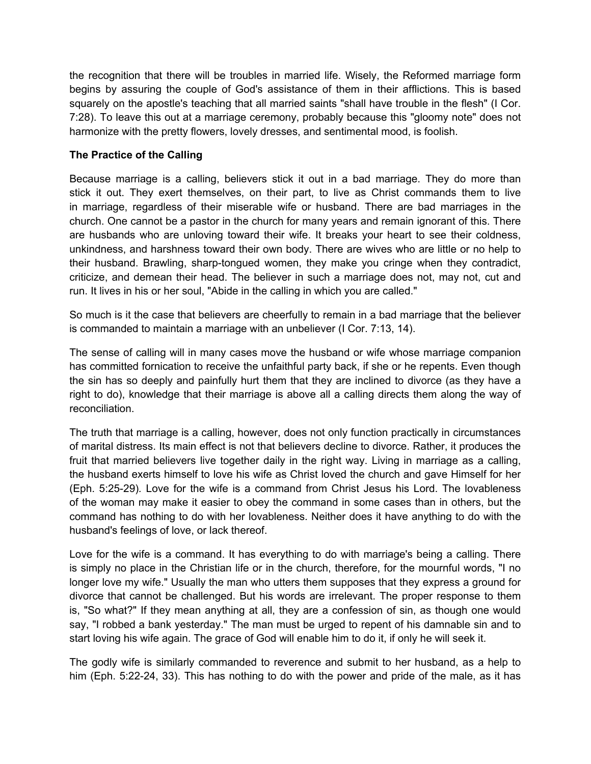the recognition that there will be troubles in married life. Wisely, the Reformed marriage form begins by assuring the couple of God's assistance of them in their afflictions. This is based squarely on the apostle's teaching that all married saints "shall have trouble in the flesh" (I Cor. 7:28). To leave this out at a marriage ceremony, probably because this "gloomy note" does not harmonize with the pretty flowers, lovely dresses, and sentimental mood, is foolish.

#### **The Practice of the Calling**

Because marriage is a calling, believers stick it out in a bad marriage. They do more than stick it out. They exert themselves, on their part, to live as Christ commands them to live in marriage, regardless of their miserable wife or husband. There are bad marriages in the church. One cannot be a pastor in the church for many years and remain ignorant of this. There are husbands who are unloving toward their wife. It breaks your heart to see their coldness, unkindness, and harshness toward their own body. There are wives who are little or no help to their husband. Brawling, sharp-tongued women, they make you cringe when they contradict, criticize, and demean their head. The believer in such a marriage does not, may not, cut and run. It lives in his or her soul, "Abide in the calling in which you are called."

So much is it the case that believers are cheerfully to remain in a bad marriage that the believer is commanded to maintain a marriage with an unbeliever (I Cor. 7:13, 14).

The sense of calling will in many cases move the husband or wife whose marriage companion has committed fornication to receive the unfaithful party back, if she or he repents. Even though the sin has so deeply and painfully hurt them that they are inclined to divorce (as they have a right to do), knowledge that their marriage is above all a calling directs them along the way of reconciliation.

The truth that marriage is a calling, however, does not only function practically in circumstances of marital distress. Its main effect is not that believers decline to divorce. Rather, it produces the fruit that married believers live together daily in the right way. Living in marriage as a calling, the husband exerts himself to love his wife as Christ loved the church and gave Himself for her (Eph. 5:25-29)*.* Love for the wife is a command from Christ Jesus his Lord. The lovableness of the woman may make it easier to obey the command in some cases than in others, but the command has nothing to do with her lovableness. Neither does it have anything to do with the husband's feelings of love, or lack thereof.

Love for the wife is a command. It has everything to do with marriage's being a calling. There is simply no place in the Christian life or in the church, therefore, for the mournful words, "I no longer love my wife." Usually the man who utters them supposes that they express a ground for divorce that cannot be challenged. But his words are irrelevant. The proper response to them is, "So what?" If they mean anything at all, they are a confession of sin, as though one would say, "I robbed a bank yesterday." The man must be urged to repent of his damnable sin and to start loving his wife again. The grace of God will enable him to do it, if only he will seek it.

The godly wife is similarly commanded to reverence and submit to her husband, as a help to him (Eph. 5:22-24, 33). This has nothing to do with the power and pride of the male, as it has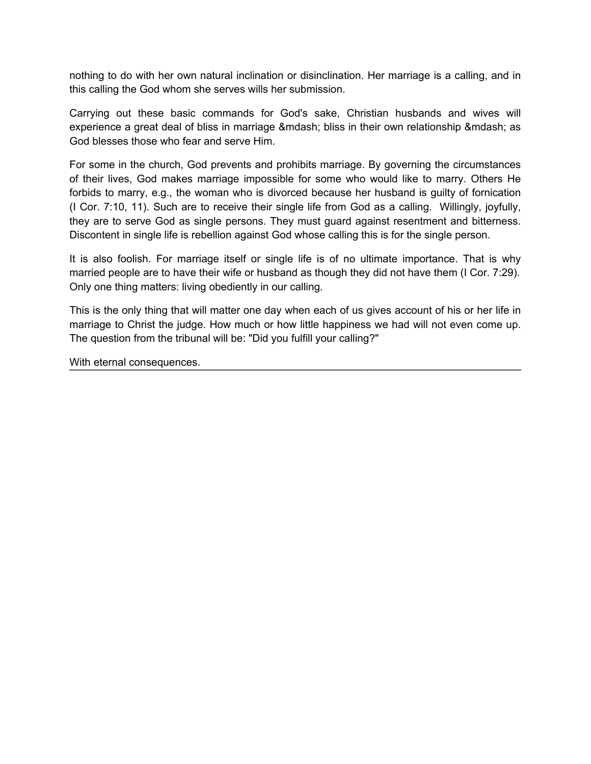nothing to do with her own natural inclination or disinclination. Her marriage is a calling, and in this calling the God whom she serves wills her submission.

Carrying out these basic commands for God's sake, Christian husbands and wives will experience a great deal of bliss in marriage & mdash; bliss in their own relationship & mdash; as God blesses those who fear and serve Him.

For some in the church, God prevents and prohibits marriage. By governing the circumstances of their lives, God makes marriage impossible for some who would like to marry. Others He forbids to marry, e.g., the woman who is divorced because her husband is guilty of fornication (I Cor. 7:10, 11). Such are to receive their single life from God as a calling. Willingly, joyfully, they are to serve God as single persons. They must guard against resentment and bitterness. Discontent in single life is rebellion against God whose calling this is for the single person.

It is also foolish. For marriage itself or single life is of no ultimate importance. That is why married people are to have their wife or husband as though they did not have them (I Cor. 7:29). Only one thing matters: living obediently in our calling.

This is the only thing that will matter one day when each of us gives account of his or her life in marriage to Christ the judge. How much or how little happiness we had will not even come up. The question from the tribunal will be: "Did you fulfill your calling?"

With eternal consequences.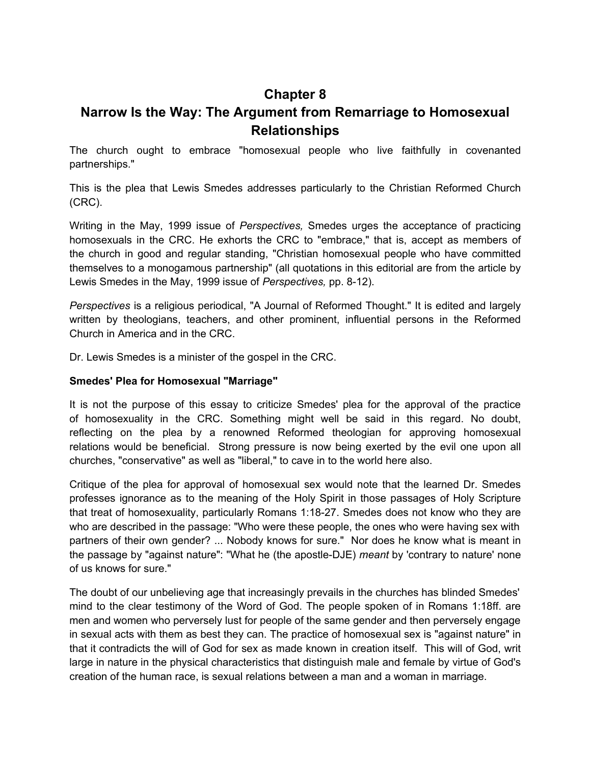### **Chapter 8**

### <span id="page-31-0"></span>**Narrow Is the Way: The Argument from Remarriage to Homosexual Relationships**

The church ought to embrace "homosexual people who live faithfully in covenanted partnerships."

This is the plea that Lewis Smedes addresses particularly to the Christian Reformed Church (CRC).

Writing in the May, 1999 issue of *Perspectives,* Smedes urges the acceptance of practicing homosexuals in the CRC. He exhorts the CRC to "embrace," that is, accept as members of the church in good and regular standing, "Christian homosexual people who have committed themselves to a monogamous partnership" (all quotations in this editorial are from the article by Lewis Smedes in the May, 1999 issue of *Perspectives,* pp. 8-12).

*Perspectives* is a religious periodical, "A Journal of Reformed Thought." It is edited and largely written by theologians, teachers, and other prominent, influential persons in the Reformed Church in America and in the CRC.

Dr. Lewis Smedes is a minister of the gospel in the CRC.

#### **Smedes' Plea for Homosexual "Marriage"**

It is not the purpose of this essay to criticize Smedes' plea for the approval of the practice of homosexuality in the CRC. Something might well be said in this regard. No doubt, reflecting on the plea by a renowned Reformed theologian for approving homosexual relations would be beneficial. Strong pressure is now being exerted by the evil one upon all churches, "conservative" as well as "liberal," to cave in to the world here also.

Critique of the plea for approval of homosexual sex would note that the learned Dr. Smedes professes ignorance as to the meaning of the Holy Spirit in those passages of Holy Scripture that treat of homosexuality, particularly Romans 1:18-27. Smedes does not know who they are who are described in the passage: "Who were these people, the ones who were having sex with partners of their own gender? ... Nobody knows for sure." Nor does he know what is meant in the passage by "against nature": "What he (the apostle-DJE) *meant* by 'contrary to nature' none of us knows for sure."

The doubt of our unbelieving age that increasingly prevails in the churches has blinded Smedes' mind to the clear testimony of the Word of God. The people spoken of in Romans 1:18ff. are men and women who perversely lust for people of the same gender and then perversely engage in sexual acts with them as best they can. The practice of homosexual sex is "against nature" in that it contradicts the will of God for sex as made known in creation itself. This will of God, writ large in nature in the physical characteristics that distinguish male and female by virtue of God's creation of the human race, is sexual relations between a man and a woman in marriage.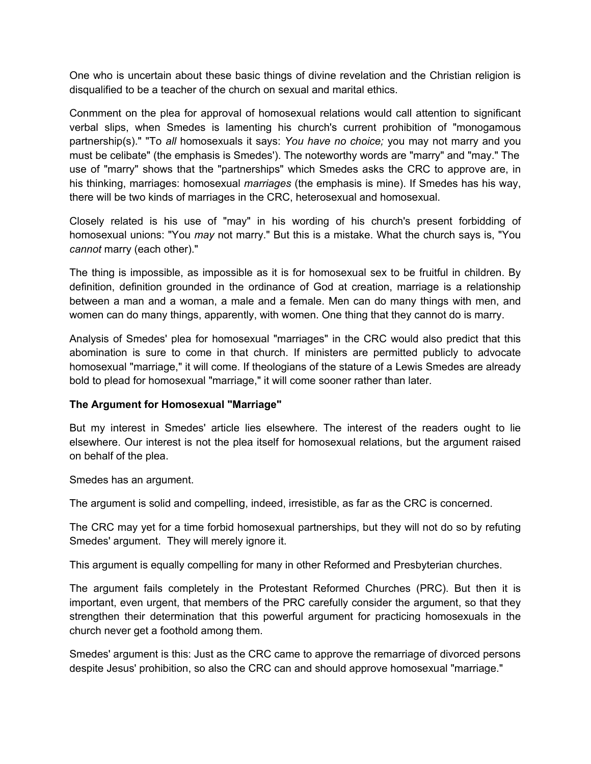One who is uncertain about these basic things of divine revelation and the Christian religion is disqualified to be a teacher of the church on sexual and marital ethics.

Conmment on the plea for approval of homosexual relations would call attention to significant verbal slips, when Smedes is lamenting his church's current prohibition of "monogamous partnership(s)." "To *all* homosexuals it says: *You have no choice;* you may not marry and you must be celibate" (the emphasis is Smedes'). The noteworthy words are "marry" and "may." The use of "marry" shows that the "partnerships" which Smedes asks the CRC to approve are, in his thinking, marriages: homosexual *marriages* (the emphasis is mine). If Smedes has his way, there will be two kinds of marriages in the CRC, heterosexual and homosexual.

Closely related is his use of "may" in his wording of his church's present forbidding of homosexual unions: "You *may* not marry." But this is a mistake. What the church says is, "You *cannot* marry (each other)."

The thing is impossible, as impossible as it is for homosexual sex to be fruitful in children. By definition, definition grounded in the ordinance of God at creation, marriage is a relationship between a man and a woman, a male and a female. Men can do many things with men, and women can do many things, apparently, with women. One thing that they cannot do is marry.

Analysis of Smedes' plea for homosexual "marriages" in the CRC would also predict that this abomination is sure to come in that church. If ministers are permitted publicly to advocate homosexual "marriage," it will come. If theologians of the stature of a Lewis Smedes are already bold to plead for homosexual "marriage," it will come sooner rather than later.

#### **The Argument for Homosexual "Marriage"**

But my interest in Smedes' article lies elsewhere. The interest of the readers ought to lie elsewhere. Our interest is not the plea itself for homosexual relations, but the argument raised on behalf of the plea.

Smedes has an argument.

The argument is solid and compelling, indeed, irresistible, as far as the CRC is concerned.

The CRC may yet for a time forbid homosexual partnerships, but they will not do so by refuting Smedes' argument. They will merely ignore it.

This argument is equally compelling for many in other Reformed and Presbyterian churches.

The argument fails completely in the Protestant Reformed Churches (PRC). But then it is important, even urgent, that members of the PRC carefully consider the argument, so that they strengthen their determination that this powerful argument for practicing homosexuals in the church never get a foothold among them.

Smedes' argument is this: Just as the CRC came to approve the remarriage of divorced persons despite Jesus' prohibition, so also the CRC can and should approve homosexual "marriage."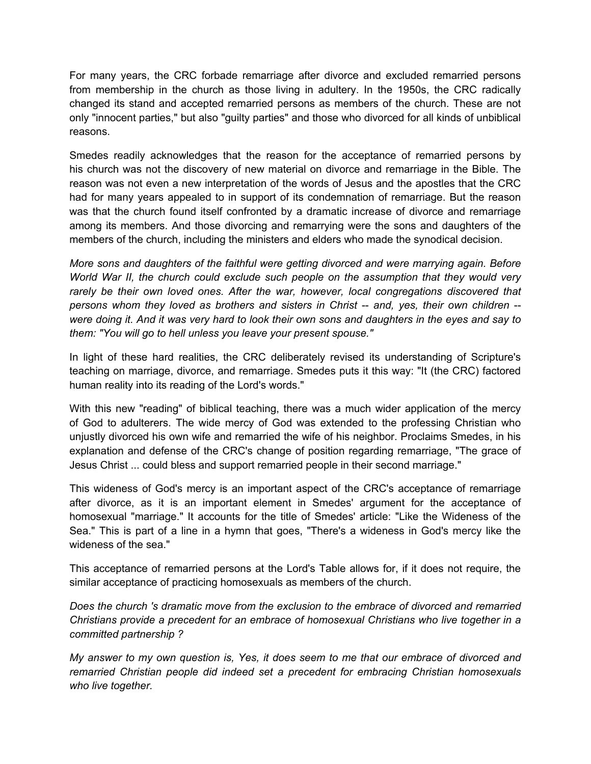For many years, the CRC forbade remarriage after divorce and excluded remarried persons from membership in the church as those living in adultery. In the 1950s, the CRC radically changed its stand and accepted remarried persons as members of the church. These are not only "innocent parties," but also "guilty parties" and those who divorced for all kinds of unbiblical reasons.

Smedes readily acknowledges that the reason for the acceptance of remarried persons by his church was not the discovery of new material on divorce and remarriage in the Bible. The reason was not even a new interpretation of the words of Jesus and the apostles that the CRC had for many years appealed to in support of its condemnation of remarriage. But the reason was that the church found itself confronted by a dramatic increase of divorce and remarriage among its members. And those divorcing and remarrying were the sons and daughters of the members of the church, including the ministers and elders who made the synodical decision.

*More sons and daughters of the faithful were getting divorced and were marrying again. Before World War II, the church could exclude such people on the assumption that they would very*  rarely be their own loved ones. After the war, however, local congregations discovered that *persons whom they loved as brothers and sisters in Christ* -- *and, yes, their own children* - *were doing it. And it was very hard to look their own sons and daughters in the eyes and say to them: "You will go to hell unless you leave your present spouse."*

In light of these hard realities, the CRC deliberately revised its understanding of Scripture's teaching on marriage, divorce, and remarriage. Smedes puts it this way: "It (the CRC) factored human reality into its reading of the Lord's words."

With this new "reading" of biblical teaching, there was a much wider application of the mercy of God to adulterers. The wide mercy of God was extended to the professing Christian who unjustly divorced his own wife and remarried the wife of his neighbor. Proclaims Smedes, in his explanation and defense of the CRC's change of position regarding remarriage, "The grace of Jesus Christ ... could bless and support remarried people in their second marriage."

This wideness of God's mercy is an important aspect of the CRC's acceptance of remarriage after divorce, as it is an important element in Smedes' argument for the acceptance of homosexual "marriage." It accounts for the title of Smedes' article: "Like the Wideness of the Sea." This is part of a line in a hymn that goes, "There's a wideness in God's mercy like the wideness of the sea."

This acceptance of remarried persons at the Lord's Table allows for, if it does not require, the similar acceptance of practicing homosexuals as members of the church.

*Does the church 's dramatic move from the exclusion to the embrace of divorced and remarried Christians provide a precedent for an embrace of homosexual Christians who live together in a committed partnership ?*

*My answer to my own question is, Yes, it does seem to me that our embrace of divorced and remarried Christian people did indeed set a precedent for embracing Christian homosexuals who live together.*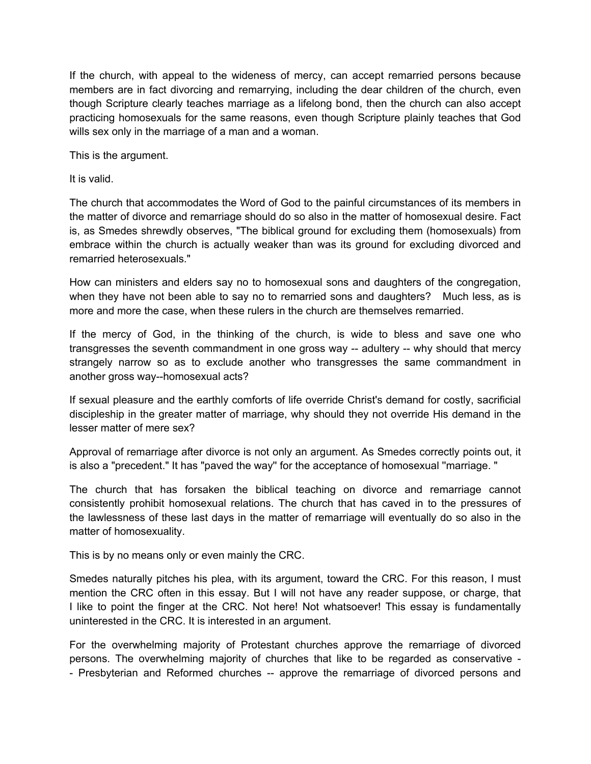If the church, with appeal to the wideness of mercy, can accept remarried persons because members are in fact divorcing and remarrying, including the dear children of the church, even though Scripture clearly teaches marriage as a lifelong bond, then the church can also accept practicing homosexuals for the same reasons, even though Scripture plainly teaches that God wills sex only in the marriage of a man and a woman.

This is the argument.

It is valid.

The church that accommodates the Word of God to the painful circumstances of its members in the matter of divorce and remarriage should do so also in the matter of homosexual desire. Fact is, as Smedes shrewdly observes, "The biblical ground for excluding them (homosexuals) from embrace within the church is actually weaker than was its ground for excluding divorced and remarried heterosexuals."

How can ministers and elders say no to homosexual sons and daughters of the congregation, when they have not been able to say no to remarried sons and daughters? Much less, as is more and more the case, when these rulers in the church are themselves remarried.

If the mercy of God, in the thinking of the church, is wide to bless and save one who transgresses the seventh commandment in one gross way -- adultery -- why should that mercy strangely narrow so as to exclude another who transgresses the same commandment in another gross way--homosexual acts?

If sexual pleasure and the earthly comforts of life override Christ's demand for costly, sacrificial discipleship in the greater matter of marriage, why should they not override His demand in the lesser matter of mere sex?

Approval of remarriage after divorce is not only an argument. As Smedes correctly points out, it is also a "precedent." It has "paved the way'' for the acceptance of homosexual ''marriage. "

The church that has forsaken the biblical teaching on divorce and remarriage cannot consistently prohibit homosexual relations. The church that has caved in to the pressures of the lawlessness of these last days in the matter of remarriage will eventually do so also in the matter of homosexuality.

This is by no means only or even mainly the CRC.

Smedes naturally pitches his plea, with its argument, toward the CRC. For this reason, I must mention the CRC often in this essay. But I will not have any reader suppose, or charge, that I like to point the finger at the CRC. Not here! Not whatsoever! This essay is fundamentally uninterested in the CRC. It is interested in an argument.

For the overwhelming majority of Protestant churches approve the remarriage of divorced persons. The overwhelming majority of churches that like to be regarded as conservative - - Presbyterian and Reformed churches -- approve the remarriage of divorced persons and